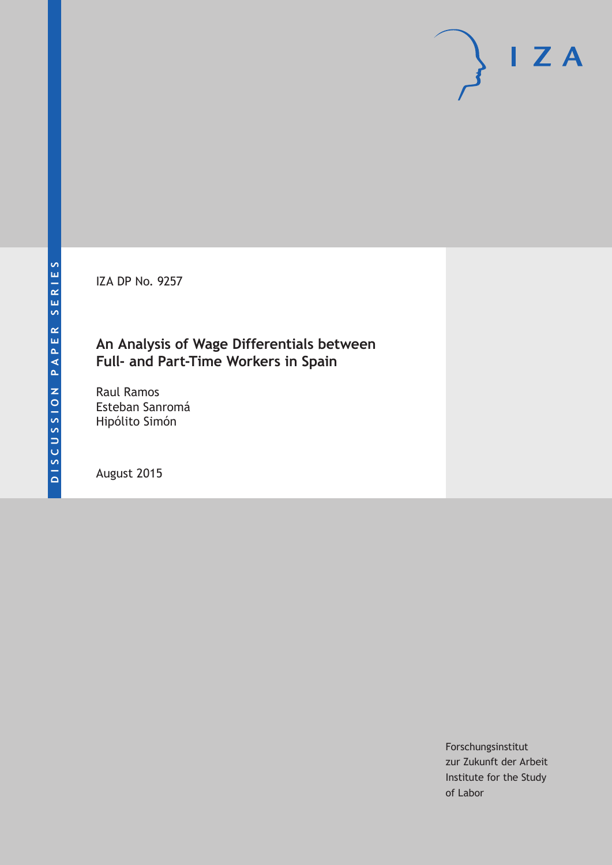IZA DP No. 9257

# **An Analysis of Wage Differentials between Full- and Part-Time Workers in Spain**

Raul Ramos Esteban Sanromá Hipólito Simón

August 2015

Forschungsinstitut zur Zukunft der Arbeit Institute for the Study of Labor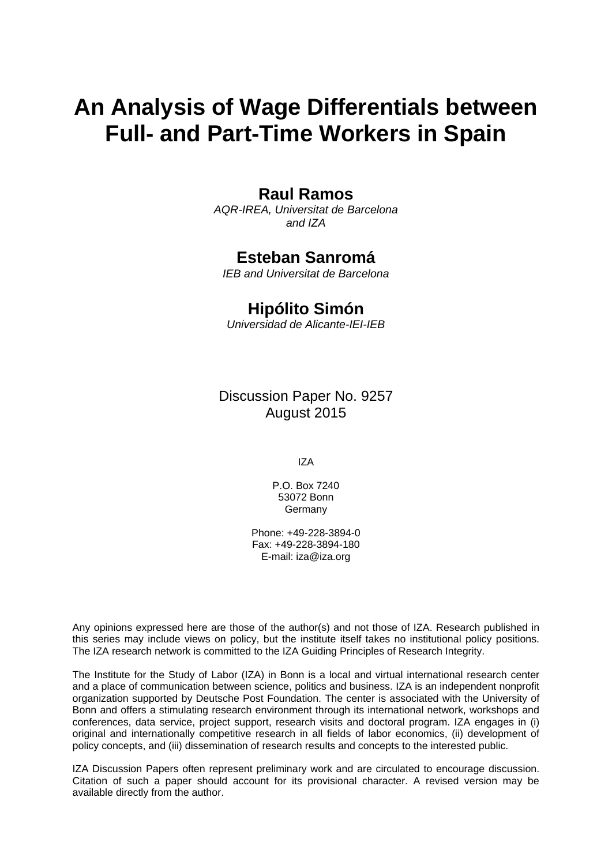# **An Analysis of Wage Differentials between Full- and Part-Time Workers in Spain**

### **Raul Ramos**

*AQR-IREA, Universitat de Barcelona and IZA* 

### **Esteban Sanromá**

*IEB and Universitat de Barcelona* 

### **Hipólito Simón**

*Universidad de Alicante-IEI-IEB*

Discussion Paper No. 9257 August 2015

IZA

P.O. Box 7240 53072 Bonn Germany

Phone: +49-228-3894-0 Fax: +49-228-3894-180 E-mail: iza@iza.org

Any opinions expressed here are those of the author(s) and not those of IZA. Research published in this series may include views on policy, but the institute itself takes no institutional policy positions. The IZA research network is committed to the IZA Guiding Principles of Research Integrity.

The Institute for the Study of Labor (IZA) in Bonn is a local and virtual international research center and a place of communication between science, politics and business. IZA is an independent nonprofit organization supported by Deutsche Post Foundation. The center is associated with the University of Bonn and offers a stimulating research environment through its international network, workshops and conferences, data service, project support, research visits and doctoral program. IZA engages in (i) original and internationally competitive research in all fields of labor economics, (ii) development of policy concepts, and (iii) dissemination of research results and concepts to the interested public.

IZA Discussion Papers often represent preliminary work and are circulated to encourage discussion. Citation of such a paper should account for its provisional character. A revised version may be available directly from the author.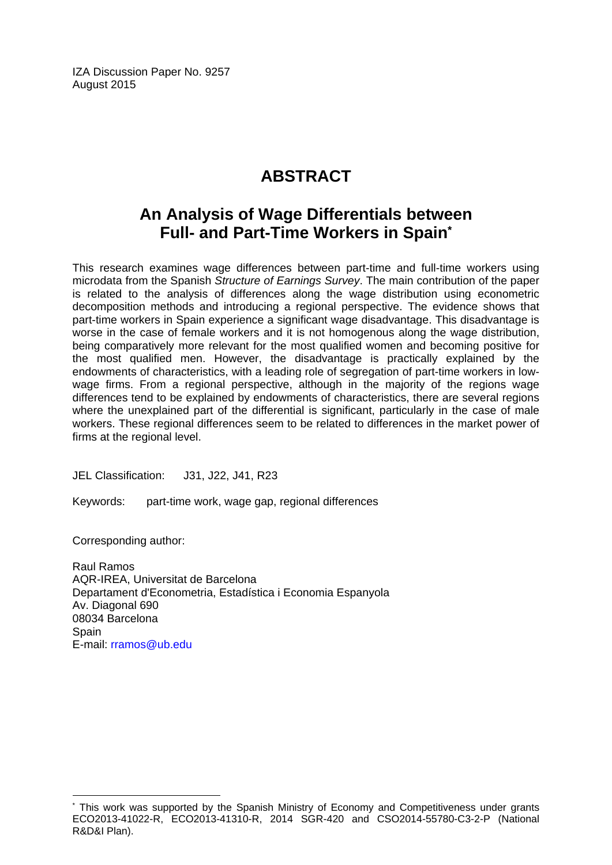IZA Discussion Paper No. 9257 August 2015

# **ABSTRACT**

# **An Analysis of Wage Differentials between Full- and Part-Time Workers in Spain\***

This research examines wage differences between part-time and full-time workers using microdata from the Spanish *Structure of Earnings Survey*. The main contribution of the paper is related to the analysis of differences along the wage distribution using econometric decomposition methods and introducing a regional perspective. The evidence shows that part-time workers in Spain experience a significant wage disadvantage. This disadvantage is worse in the case of female workers and it is not homogenous along the wage distribution, being comparatively more relevant for the most qualified women and becoming positive for the most qualified men. However, the disadvantage is practically explained by the endowments of characteristics, with a leading role of segregation of part-time workers in lowwage firms. From a regional perspective, although in the majority of the regions wage differences tend to be explained by endowments of characteristics, there are several regions where the unexplained part of the differential is significant, particularly in the case of male workers. These regional differences seem to be related to differences in the market power of firms at the regional level.

JEL Classification: J31, J22, J41, R23

Keywords: part-time work, wage gap, regional differences

Corresponding author:

 $\overline{a}$ 

Raul Ramos AQR-IREA, Universitat de Barcelona Departament d'Econometria, Estadística i Economia Espanyola Av. Diagonal 690 08034 Barcelona **Spain** E-mail: rramos@ub.edu

<sup>\*</sup> This work was supported by the Spanish Ministry of Economy and Competitiveness under grants ECO2013-41022-R, ECO2013-41310-R, 2014 SGR-420 and CSO2014-55780-C3-2-P (National R&D&I Plan).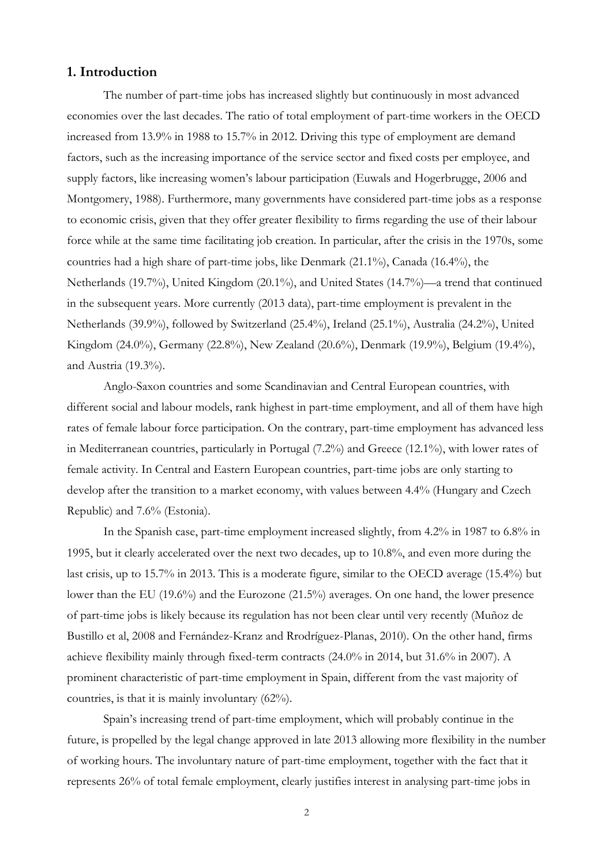#### **1. Introduction**

The number of part-time jobs has increased slightly but continuously in most advanced economies over the last decades. The ratio of total employment of part-time workers in the OECD increased from 13.9% in 1988 to 15.7% in 2012. Driving this type of employment are demand factors, such as the increasing importance of the service sector and fixed costs per employee, and supply factors, like increasing women's labour participation (Euwals and Hogerbrugge, 2006 and Montgomery, 1988). Furthermore, many governments have considered part-time jobs as a response to economic crisis, given that they offer greater flexibility to firms regarding the use of their labour force while at the same time facilitating job creation. In particular, after the crisis in the 1970s, some countries had a high share of part-time jobs, like Denmark (21.1%), Canada (16.4%), the Netherlands (19.7%), United Kingdom (20.1%), and United States (14.7%)—a trend that continued in the subsequent years. More currently (2013 data), part-time employment is prevalent in the Netherlands (39.9%), followed by Switzerland (25.4%), Ireland (25.1%), Australia (24.2%), United Kingdom (24.0%), Germany (22.8%), New Zealand (20.6%), Denmark (19.9%), Belgium (19.4%), and Austria (19.3%).

Anglo-Saxon countries and some Scandinavian and Central European countries, with different social and labour models, rank highest in part-time employment, and all of them have high rates of female labour force participation. On the contrary, part-time employment has advanced less in Mediterranean countries, particularly in Portugal (7.2%) and Greece (12.1%), with lower rates of female activity. In Central and Eastern European countries, part-time jobs are only starting to develop after the transition to a market economy, with values between 4.4% (Hungary and Czech Republic) and 7.6% (Estonia).

In the Spanish case, part-time employment increased slightly, from 4.2% in 1987 to 6.8% in 1995, but it clearly accelerated over the next two decades, up to 10.8%, and even more during the last crisis, up to 15.7% in 2013. This is a moderate figure, similar to the OECD average (15.4%) but lower than the EU (19.6%) and the Eurozone (21.5%) averages. On one hand, the lower presence of part-time jobs is likely because its regulation has not been clear until very recently (Muñoz de Bustillo et al, 2008 and Fernández-Kranz and Rrodríguez-Planas, 2010). On the other hand, firms achieve flexibility mainly through fixed-term contracts (24.0% in 2014, but 31.6% in 2007). A prominent characteristic of part-time employment in Spain, different from the vast majority of countries, is that it is mainly involuntary (62%).

Spain's increasing trend of part-time employment, which will probably continue in the future, is propelled by the legal change approved in late 2013 allowing more flexibility in the number of working hours. The involuntary nature of part-time employment, together with the fact that it represents 26% of total female employment, clearly justifies interest in analysing part-time jobs in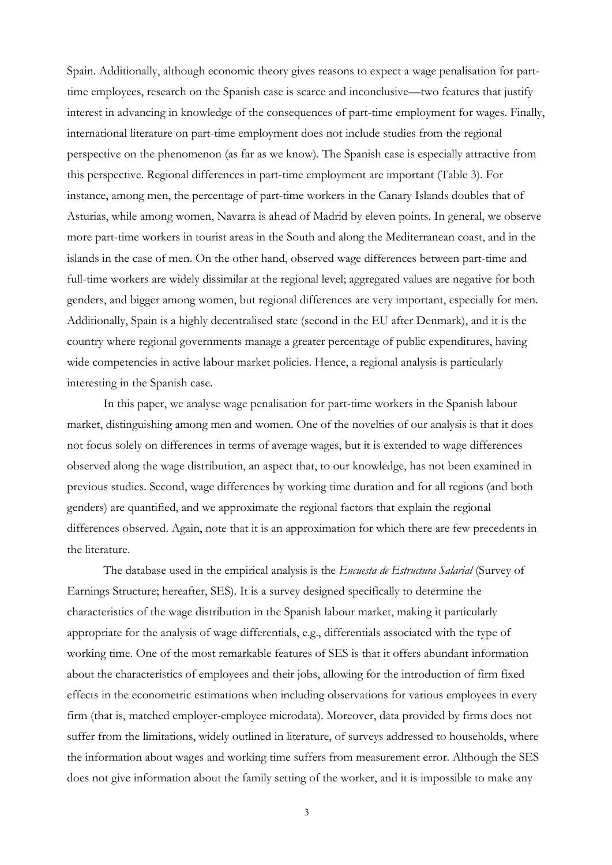Spain. Additionally, although economic theory gives reasons to expect a wage penalisation for parttime employees, research on the Spanish case is scarce and inconclusive—two features that justify interest in advancing in knowledge of the consequences of part-time employment for wages. Finally, international literature on part-time employment does not include studies from the regional perspective on the phenomenon (as far as we know). The Spanish case is especially attractive from this perspective. Regional differences in part-time employment are important (Table 3). For instance, among men, the percentage of part-time workers in the Canary Islands doubles that of Asturias, while among women, Navarra is ahead of Madrid by eleven points. In general, we observe more part-time workers in tourist areas in the South and along the Mediterranean coast, and in the islands in the case of men. On the other hand, observed wage differences between part-time and full-time workers are widely dissimilar at the regional level; aggregated values are negative for both genders, and bigger among women, but regional differences are very important, especially for men. Additionally, Spain is a highly decentralised state (second in the EU after Denmark), and it is the country where regional governments manage a greater percentage of public expenditures, having wide competencies in active labour market policies. Hence, a regional analysis is particularly interesting in the Spanish case.

In this paper, we analyse wage penalisation for part-time workers in the Spanish labour market, distinguishing among men and women. One of the novelties of our analysis is that it does not focus solely on differences in terms of average wages, but it is extended to wage differences observed along the wage distribution, an aspect that, to our knowledge, has not been examined in previous studies. Second, wage differences by working time duration and for all regions (and both genders) are quantified, and we approximate the regional factors that explain the regional differences observed. Again, note that it is an approximation for which there are few precedents in the literature.

The database used in the empirical analysis is the *Encuesta de Estructura Salarial* (Survey of Earnings Structure; hereafter, SES). It is a survey designed specifically to determine the characteristics of the wage distribution in the Spanish labour market, making it particularly appropriate for the analysis of wage differentials, e.g., differentials associated with the type of working time. One of the most remarkable features of SES is that it offers abundant information about the characteristics of employees and their jobs, allowing for the introduction of firm fixed effects in the econometric estimations when including observations for various employees in every firm (that is, matched employer-employee microdata). Moreover, data provided by firms does not suffer from the limitations, widely outlined in literature, of surveys addressed to households, where the information about wages and working time suffers from measurement error. Although the SES does not give information about the family setting of the worker, and it is impossible to make any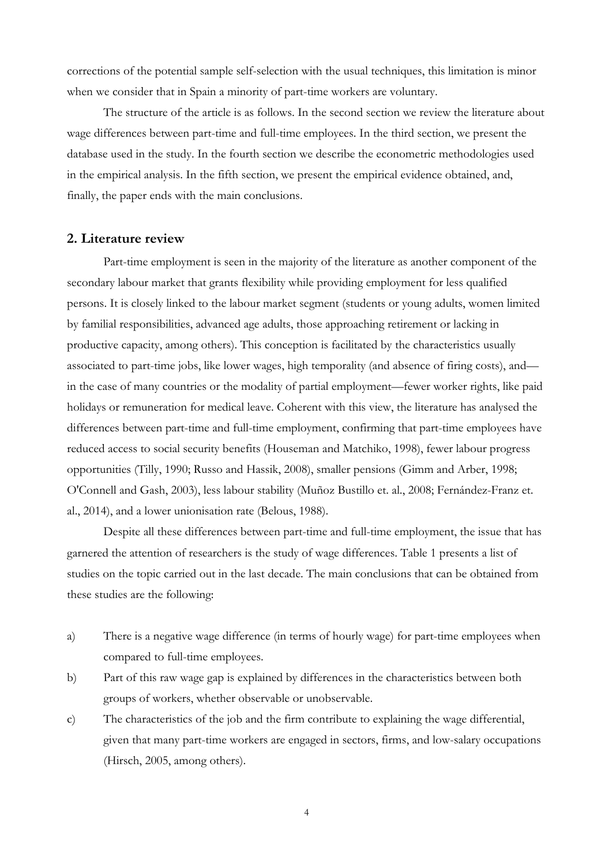corrections of the potential sample self-selection with the usual techniques, this limitation is minor when we consider that in Spain a minority of part-time workers are voluntary.

The structure of the article is as follows. In the second section we review the literature about wage differences between part-time and full-time employees. In the third section, we present the database used in the study. In the fourth section we describe the econometric methodologies used in the empirical analysis. In the fifth section, we present the empirical evidence obtained, and, finally, the paper ends with the main conclusions.

#### **2. Literature review**

Part-time employment is seen in the majority of the literature as another component of the secondary labour market that grants flexibility while providing employment for less qualified persons. It is closely linked to the labour market segment (students or young adults, women limited by familial responsibilities, advanced age adults, those approaching retirement or lacking in productive capacity, among others). This conception is facilitated by the characteristics usually associated to part-time jobs, like lower wages, high temporality (and absence of firing costs), and in the case of many countries or the modality of partial employment—fewer worker rights, like paid holidays or remuneration for medical leave. Coherent with this view, the literature has analysed the differences between part-time and full-time employment, confirming that part-time employees have reduced access to social security benefits (Houseman and Matchiko, 1998), fewer labour progress opportunities (Tilly, 1990; Russo and Hassik, 2008), smaller pensions (Gimm and Arber, 1998; O'Connell and Gash, 2003), less labour stability (Muñoz Bustillo et. al., 2008; Fernández-Franz et. al., 2014), and a lower unionisation rate (Belous, 1988).

Despite all these differences between part-time and full-time employment, the issue that has garnered the attention of researchers is the study of wage differences. Table 1 presents a list of studies on the topic carried out in the last decade. The main conclusions that can be obtained from these studies are the following:

- a) There is a negative wage difference (in terms of hourly wage) for part-time employees when compared to full-time employees.
- b) Part of this raw wage gap is explained by differences in the characteristics between both groups of workers, whether observable or unobservable.
- c) The characteristics of the job and the firm contribute to explaining the wage differential, given that many part-time workers are engaged in sectors, firms, and low-salary occupations (Hirsch, 2005, among others).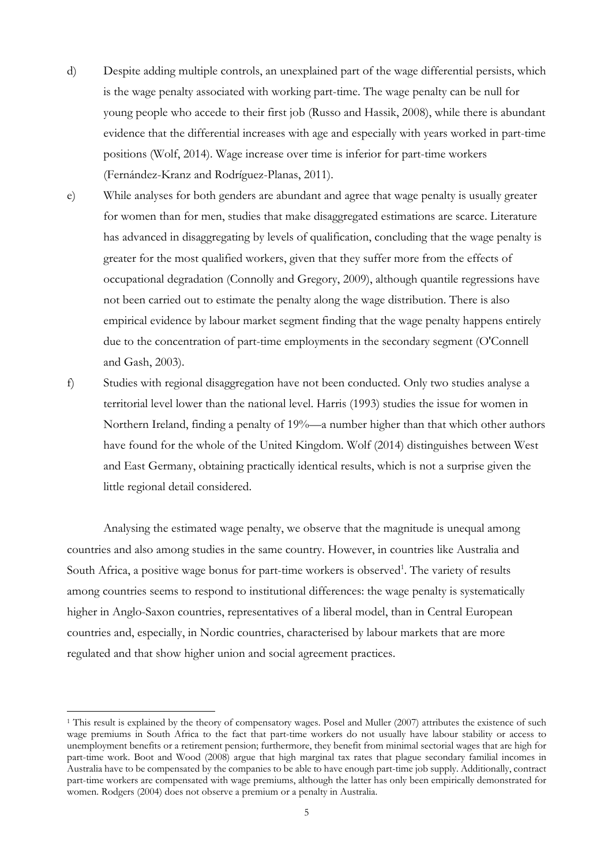- d) Despite adding multiple controls, an unexplained part of the wage differential persists, which is the wage penalty associated with working part-time. The wage penalty can be null for young people who accede to their first job (Russo and Hassik, 2008), while there is abundant evidence that the differential increases with age and especially with years worked in part-time positions (Wolf, 2014). Wage increase over time is inferior for part-time workers (Fernández-Kranz and Rodríguez-Planas, 2011).
- e) While analyses for both genders are abundant and agree that wage penalty is usually greater for women than for men, studies that make disaggregated estimations are scarce. Literature has advanced in disaggregating by levels of qualification, concluding that the wage penalty is greater for the most qualified workers, given that they suffer more from the effects of occupational degradation (Connolly and Gregory, 2009), although quantile regressions have not been carried out to estimate the penalty along the wage distribution. There is also empirical evidence by labour market segment finding that the wage penalty happens entirely due to the concentration of part-time employments in the secondary segment (O'Connell and Gash, 2003).
- f) Studies with regional disaggregation have not been conducted. Only two studies analyse a territorial level lower than the national level. Harris (1993) studies the issue for women in Northern Ireland, finding a penalty of 19%—a number higher than that which other authors have found for the whole of the United Kingdom. Wolf (2014) distinguishes between West and East Germany, obtaining practically identical results, which is not a surprise given the little regional detail considered.

Analysing the estimated wage penalty, we observe that the magnitude is unequal among countries and also among studies in the same country. However, in countries like Australia and South Africa, a positive wage bonus for part-time workers is observed<sup>1</sup>. The variety of results among countries seems to respond to institutional differences: the wage penalty is systematically higher in Anglo-Saxon countries, representatives of a liberal model, than in Central European countries and, especially, in Nordic countries, characterised by labour markets that are more regulated and that show higher union and social agreement practices.

<sup>&</sup>lt;sup>1</sup> This result is explained by the theory of compensatory wages. Posel and Muller (2007) attributes the existence of such wage premiums in South Africa to the fact that part-time workers do not usually have labour stability or access to unemployment benefits or a retirement pension; furthermore, they benefit from minimal sectorial wages that are high for part-time work. Boot and Wood (2008) argue that high marginal tax rates that plague secondary familial incomes in Australia have to be compensated by the companies to be able to have enough part-time job supply. Additionally, contract part-time workers are compensated with wage premiums, although the latter has only been empirically demonstrated for women. Rodgers (2004) does not observe a premium or a penalty in Australia.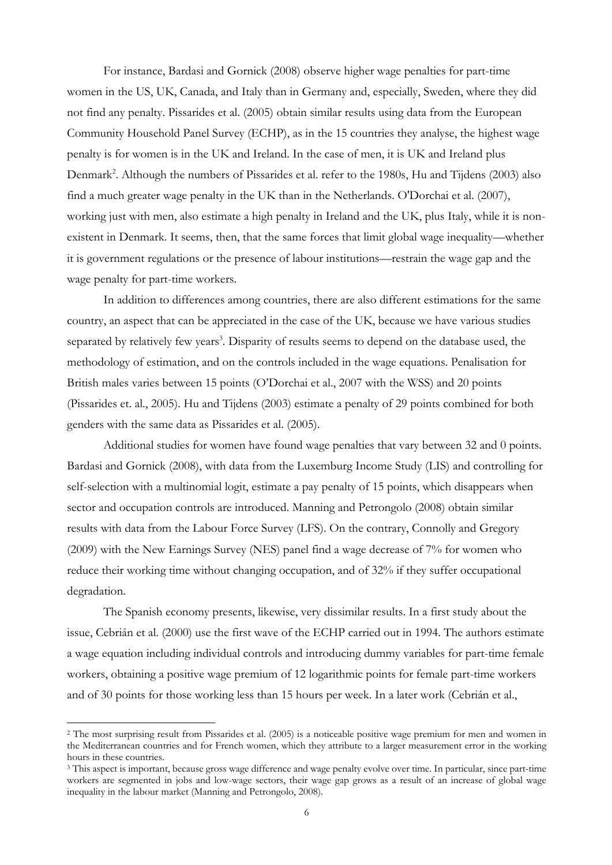For instance, Bardasi and Gornick (2008) observe higher wage penalties for part-time women in the US, UK, Canada, and Italy than in Germany and, especially, Sweden, where they did not find any penalty. Pissarides et al. (2005) obtain similar results using data from the European Community Household Panel Survey (ECHP), as in the 15 countries they analyse, the highest wage penalty is for women is in the UK and Ireland. In the case of men, it is UK and Ireland plus Denmark<sup>2</sup>. Although the numbers of Pissarides et al. refer to the 1980s, Hu and Tijdens (2003) also find a much greater wage penalty in the UK than in the Netherlands. O'Dorchai et al. (2007), working just with men, also estimate a high penalty in Ireland and the UK, plus Italy, while it is nonexistent in Denmark. It seems, then, that the same forces that limit global wage inequality—whether it is government regulations or the presence of labour institutions—restrain the wage gap and the wage penalty for part-time workers.

In addition to differences among countries, there are also different estimations for the same country, an aspect that can be appreciated in the case of the UK, because we have various studies separated by relatively few years<sup>3</sup>. Disparity of results seems to depend on the database used, the methodology of estimation, and on the controls included in the wage equations. Penalisation for British males varies between 15 points (O'Dorchai et al., 2007 with the WSS) and 20 points (Pissarides et. al., 2005). Hu and Tijdens (2003) estimate a penalty of 29 points combined for both genders with the same data as Pissarides et al. (2005).

Additional studies for women have found wage penalties that vary between 32 and 0 points. Bardasi and Gornick (2008), with data from the Luxemburg Income Study (LIS) and controlling for self-selection with a multinomial logit, estimate a pay penalty of 15 points, which disappears when sector and occupation controls are introduced. Manning and Petrongolo (2008) obtain similar results with data from the Labour Force Survey (LFS). On the contrary, Connolly and Gregory (2009) with the New Earnings Survey (NES) panel find a wage decrease of 7% for women who reduce their working time without changing occupation, and of 32% if they suffer occupational degradation.

The Spanish economy presents, likewise, very dissimilar results. In a first study about the issue, Cebrián et al. (2000) use the first wave of the ECHP carried out in 1994. The authors estimate a wage equation including individual controls and introducing dummy variables for part-time female workers, obtaining a positive wage premium of 12 logarithmic points for female part-time workers and of 30 points for those working less than 15 hours per week. In a later work (Cebrián et al.,

<sup>2</sup> The most surprising result from Pissarides et al. (2005) is a noticeable positive wage premium for men and women in the Mediterranean countries and for French women, which they attribute to a larger measurement error in the working hours in these countries.

<sup>&</sup>lt;sup>3</sup> This aspect is important, because gross wage difference and wage penalty evolve over time. In particular, since part-time workers are segmented in jobs and low-wage sectors, their wage gap grows as a result of an increase of global wage inequality in the labour market (Manning and Petrongolo, 2008).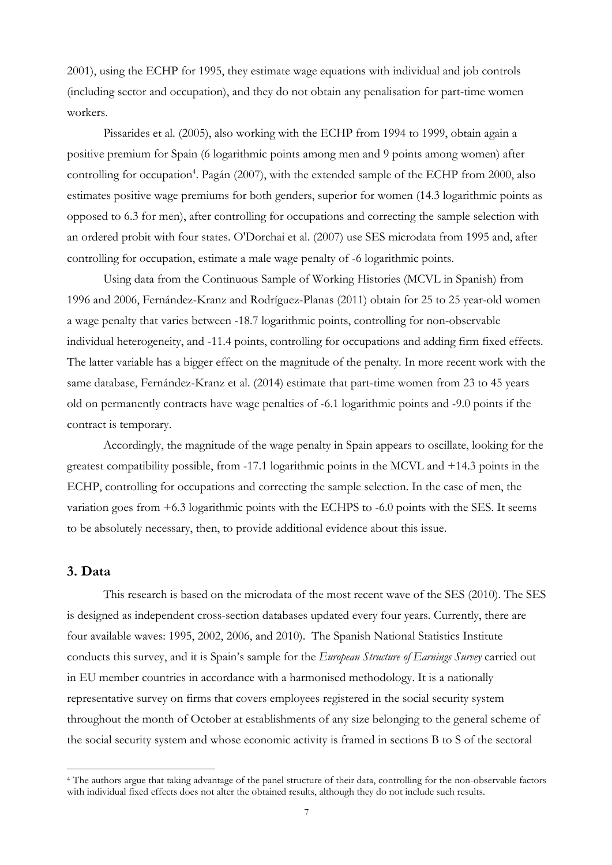2001), using the ECHP for 1995, they estimate wage equations with individual and job controls (including sector and occupation), and they do not obtain any penalisation for part-time women workers.

Pissarides et al. (2005), also working with the ECHP from 1994 to 1999, obtain again a positive premium for Spain (6 logarithmic points among men and 9 points among women) after controlling for occupation<sup>4</sup>. Pagán (2007), with the extended sample of the ECHP from 2000, also estimates positive wage premiums for both genders, superior for women (14.3 logarithmic points as opposed to 6.3 for men), after controlling for occupations and correcting the sample selection with an ordered probit with four states. O'Dorchai et al. (2007) use SES microdata from 1995 and, after controlling for occupation, estimate a male wage penalty of -6 logarithmic points.

Using data from the Continuous Sample of Working Histories (MCVL in Spanish) from 1996 and 2006, Fernández-Kranz and Rodríguez-Planas (2011) obtain for 25 to 25 year-old women a wage penalty that varies between -18.7 logarithmic points, controlling for non-observable individual heterogeneity, and -11.4 points, controlling for occupations and adding firm fixed effects. The latter variable has a bigger effect on the magnitude of the penalty. In more recent work with the same database, Fernández-Kranz et al. (2014) estimate that part-time women from 23 to 45 years old on permanently contracts have wage penalties of -6.1 logarithmic points and -9.0 points if the contract is temporary.

Accordingly, the magnitude of the wage penalty in Spain appears to oscillate, looking for the greatest compatibility possible, from -17.1 logarithmic points in the MCVL and +14.3 points in the ECHP, controlling for occupations and correcting the sample selection. In the case of men, the variation goes from +6.3 logarithmic points with the ECHPS to -6.0 points with the SES. It seems to be absolutely necessary, then, to provide additional evidence about this issue.

#### **3. Data**

1

This research is based on the microdata of the most recent wave of the SES (2010). The SES is designed as independent cross-section databases updated every four years. Currently, there are four available waves: 1995, 2002, 2006, and 2010). The Spanish National Statistics Institute conducts this survey, and it is Spain's sample for the *European Structure of Earnings Survey* carried out in EU member countries in accordance with a harmonised methodology. It is a nationally representative survey on firms that covers employees registered in the social security system throughout the month of October at establishments of any size belonging to the general scheme of the social security system and whose economic activity is framed in sections B to S of the sectoral

<sup>&</sup>lt;sup>4</sup> The authors argue that taking advantage of the panel structure of their data, controlling for the non-observable factors with individual fixed effects does not alter the obtained results, although they do not include such results.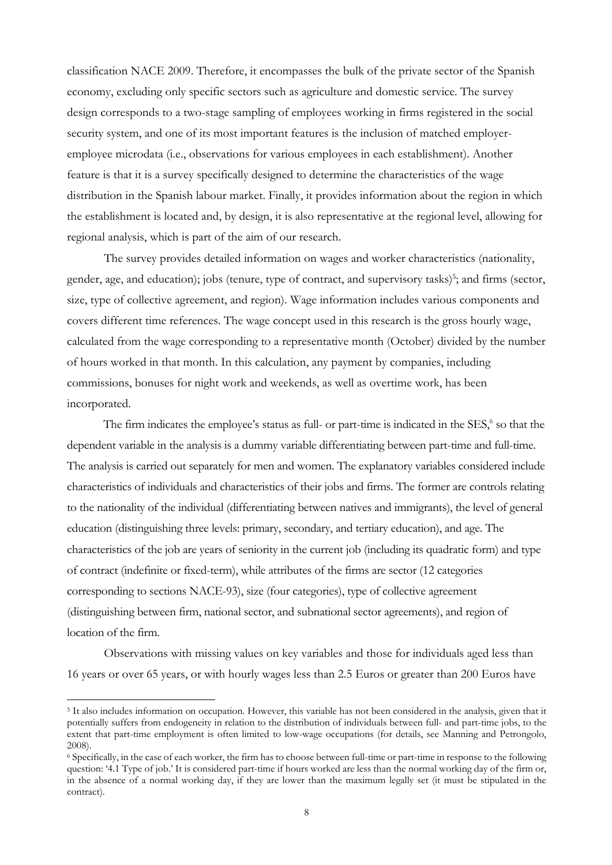classification NACE 2009. Therefore, it encompasses the bulk of the private sector of the Spanish economy, excluding only specific sectors such as agriculture and domestic service. The survey design corresponds to a two-stage sampling of employees working in firms registered in the social security system, and one of its most important features is the inclusion of matched employeremployee microdata (i.e., observations for various employees in each establishment). Another feature is that it is a survey specifically designed to determine the characteristics of the wage distribution in the Spanish labour market. Finally, it provides information about the region in which the establishment is located and, by design, it is also representative at the regional level, allowing for regional analysis, which is part of the aim of our research.

The survey provides detailed information on wages and worker characteristics (nationality, gender, age, and education); jobs (tenure, type of contract, and supervisory tasks)<sup>5</sup>; and firms (sector, size, type of collective agreement, and region). Wage information includes various components and covers different time references. The wage concept used in this research is the gross hourly wage, calculated from the wage corresponding to a representative month (October) divided by the number of hours worked in that month. In this calculation, any payment by companies, including commissions, bonuses for night work and weekends, as well as overtime work, has been incorporated.

The firm indicates the employee's status as full- or part-time is indicated in the SES,<sup>6</sup> so that the dependent variable in the analysis is a dummy variable differentiating between part-time and full-time. The analysis is carried out separately for men and women. The explanatory variables considered include characteristics of individuals and characteristics of their jobs and firms. The former are controls relating to the nationality of the individual (differentiating between natives and immigrants), the level of general education (distinguishing three levels: primary, secondary, and tertiary education), and age. The characteristics of the job are years of seniority in the current job (including its quadratic form) and type of contract (indefinite or fixed-term), while attributes of the firms are sector (12 categories corresponding to sections NACE-93), size (four categories), type of collective agreement (distinguishing between firm, national sector, and subnational sector agreements), and region of location of the firm.

Observations with missing values on key variables and those for individuals aged less than 16 years or over 65 years, or with hourly wages less than 2.5 Euros or greater than 200 Euros have

<sup>5</sup> It also includes information on occupation. However, this variable has not been considered in the analysis, given that it potentially suffers from endogeneity in relation to the distribution of individuals between full- and part-time jobs, to the extent that part-time employment is often limited to low-wage occupations (for details, see Manning and Petrongolo, 2008).

<sup>6</sup> Specifically, in the case of each worker, the firm has to choose between full-time or part-time in response to the following question: '4.1 Type of job.' It is considered part-time if hours worked are less than the normal working day of the firm or, in the absence of a normal working day, if they are lower than the maximum legally set (it must be stipulated in the contract).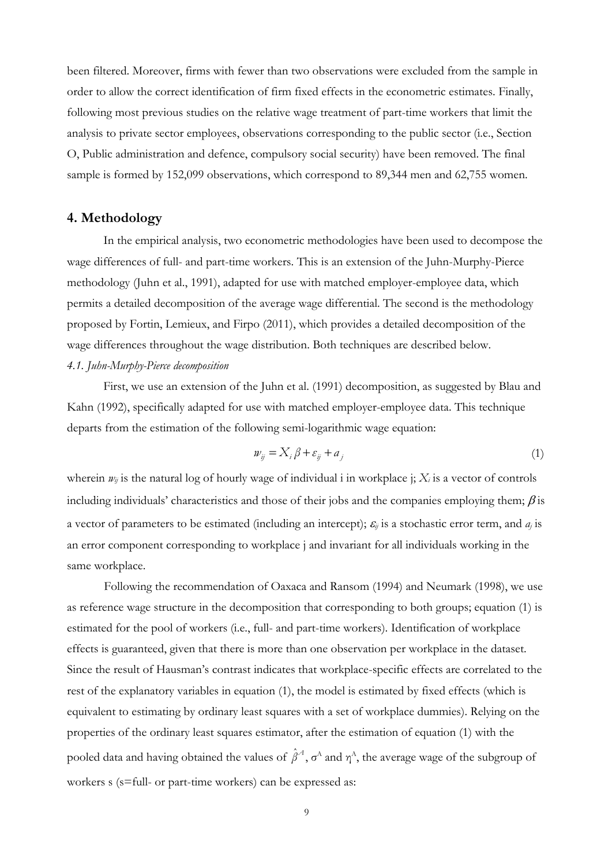been filtered. Moreover, firms with fewer than two observations were excluded from the sample in order to allow the correct identification of firm fixed effects in the econometric estimates. Finally, following most previous studies on the relative wage treatment of part-time workers that limit the analysis to private sector employees, observations corresponding to the public sector (i.e., Section O, Public administration and defence, compulsory social security) have been removed. The final sample is formed by 152,099 observations, which correspond to 89,344 men and 62,755 women.

#### **4. Methodology**

In the empirical analysis, two econometric methodologies have been used to decompose the wage differences of full- and part-time workers. This is an extension of the Juhn-Murphy-Pierce methodology (Juhn et al., 1991), adapted for use with matched employer-employee data, which permits a detailed decomposition of the average wage differential. The second is the methodology proposed by Fortin, Lemieux, and Firpo (2011), which provides a detailed decomposition of the wage differences throughout the wage distribution. Both techniques are described below. *4.1. Juhn-Murphy-Pierce decomposition* 

First, we use an extension of the Juhn et al. (1991) decomposition, as suggested by Blau and Kahn (1992), specifically adapted for use with matched employer-employee data. This technique departs from the estimation of the following semi-logarithmic wage equation:

$$
w_{ij} = X_i \beta + \varepsilon_{ij} + a_j \tag{1}
$$

wherein  $w_{ij}$  is the natural log of hourly wage of individual i in workplace j;  $X_i$  is a vector of controls including individuals' characteristics and those of their jobs and the companies employing them;  $\beta$  is a vector of parameters to be estimated (including an intercept);  $\varepsilon_{ii}$  is a stochastic error term, and  $a_i$  is an error component corresponding to workplace j and invariant for all individuals working in the same workplace.

Following the recommendation of Oaxaca and Ransom (1994) and Neumark (1998), we use as reference wage structure in the decomposition that corresponding to both groups; equation (1) is estimated for the pool of workers (i.e., full- and part-time workers). Identification of workplace effects is guaranteed, given that there is more than one observation per workplace in the dataset. Since the result of Hausman's contrast indicates that workplace-specific effects are correlated to the rest of the explanatory variables in equation (1), the model is estimated by fixed effects (which is equivalent to estimating by ordinary least squares with a set of workplace dummies). Relying on the properties of the ordinary least squares estimator, after the estimation of equation (1) with the pooled data and having obtained the values of  $\hat{\beta}^A$ ,  $\sigma^A$  and  $\eta^A$ , the average wage of the subgroup of workers s (s=full- or part-time workers) can be expressed as: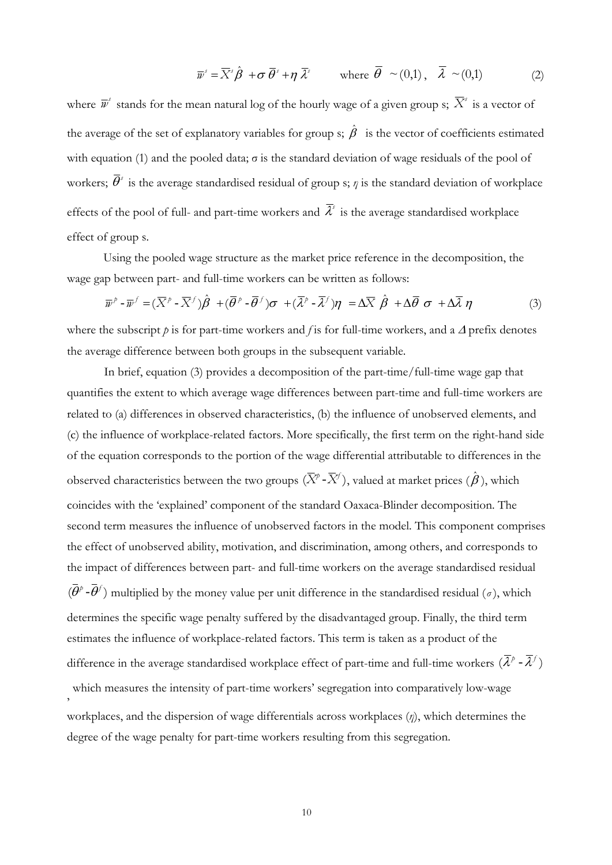$$
\overline{w}^s = \overline{X}^s \hat{\beta} + \sigma \overline{\theta}^s + \eta \overline{\lambda}^s \qquad \text{where } \overline{\theta} \sim (0,1), \overline{\lambda} \sim (0,1) \tag{2}
$$

where  $\overline{\psi}^s$  stands for the mean natural log of the hourly wage of a given group s;  $\overline{X}^s$  is a vector of the average of the set of explanatory variables for group s;  $\hat{\beta}$  is the vector of coefficients estimated with equation (1) and the pooled data; σ is the standard deviation of wage residuals of the pool of workers;  $\overline{\theta}^s$  is the average standardised residual of group s;  $\eta$  is the standard deviation of workplace effects of the pool of full- and part-time workers and  $\bar{\lambda}^s$  is the average standardised workplace effect of group s.

Using the pooled wage structure as the market price reference in the decomposition, the wage gap between part- and full-time workers can be written as follows:

$$
\overline{w}^{\rho} - \overline{w}^{\int} = (\overline{X}^{\rho} - \overline{X}^{\int})\hat{\beta} + (\overline{\theta}^{\rho} - \overline{\theta}^{\int})\sigma + (\overline{\lambda}^{\rho} - \overline{\lambda}^{\int})\eta = \Delta\overline{X} \hat{\beta} + \Delta\overline{\theta} \sigma + \Delta\overline{\lambda} \eta
$$
(3)

where the subscript  $p$  is for part-time workers and  $f$  is for full-time workers, and a  $\Delta$  prefix denotes the average difference between both groups in the subsequent variable.

In brief, equation (3) provides a decomposition of the part-time/full-time wage gap that quantifies the extent to which average wage differences between part-time and full-time workers are related to (a) differences in observed characteristics, (b) the influence of unobserved elements, and (c) the influence of workplace-related factors. More specifically, the first term on the right-hand side of the equation corresponds to the portion of the wage differential attributable to differences in the observed characteristics between the two groups  $(\overline{X}^p \cdot \overline{X}^f)$ , valued at market prices  $(\hat{\beta})$ , which coincides with the 'explained' component of the standard Oaxaca-Blinder decomposition. The second term measures the influence of unobserved factors in the model. This component comprises the effect of unobserved ability, motivation, and discrimination, among others, and corresponds to the impact of differences between part- and full-time workers on the average standardised residual  $(\bar{\theta}^{\rho} - \bar{\theta}^{\rho})$  multiplied by the money value per unit difference in the standardised residual ( $\sigma$ ), which determines the specific wage penalty suffered by the disadvantaged group. Finally, the third term estimates the influence of workplace-related factors. This term is taken as a product of the difference in the average standardised workplace effect of part-time and full-time workers  $(\bar{\lambda}^p \cdot \bar{\lambda}^f)$ 

, which measures the intensity of part-time workers' segregation into comparatively low-wage workplaces, and the dispersion of wage differentials across workplaces (*η*), which determines the degree of the wage penalty for part-time workers resulting from this segregation.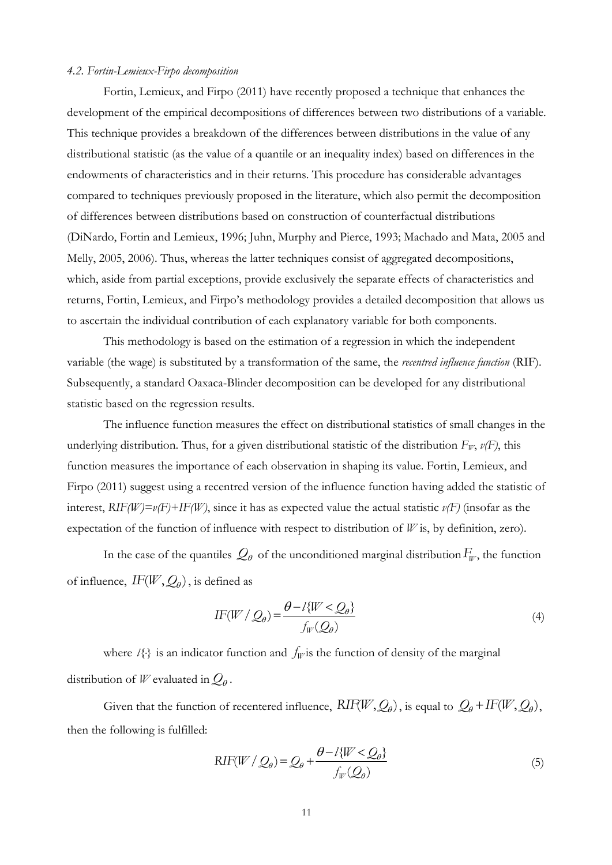#### *4.2. Fortin-Lemieux-Firpo decomposition*

Fortin, Lemieux, and Firpo (2011) have recently proposed a technique that enhances the development of the empirical decompositions of differences between two distributions of a variable. This technique provides a breakdown of the differences between distributions in the value of any distributional statistic (as the value of a quantile or an inequality index) based on differences in the endowments of characteristics and in their returns. This procedure has considerable advantages compared to techniques previously proposed in the literature, which also permit the decomposition of differences between distributions based on construction of counterfactual distributions (DiNardo, Fortin and Lemieux, 1996; Juhn, Murphy and Pierce, 1993; Machado and Mata, 2005 and Melly, 2005, 2006). Thus, whereas the latter techniques consist of aggregated decompositions, which, aside from partial exceptions, provide exclusively the separate effects of characteristics and returns, Fortin, Lemieux, and Firpo's methodology provides a detailed decomposition that allows us to ascertain the individual contribution of each explanatory variable for both components.

This methodology is based on the estimation of a regression in which the independent variable (the wage) is substituted by a transformation of the same, the *recentred influence function* (RIF). Subsequently, a standard Oaxaca-Blinder decomposition can be developed for any distributional statistic based on the regression results.

The influence function measures the effect on distributional statistics of small changes in the underlying distribution. Thus, for a given distributional statistic of the distribution  $F_W$ ,  $\nu(F)$ , this function measures the importance of each observation in shaping its value. Fortin, Lemieux, and Firpo (2011) suggest using a recentred version of the influence function having added the statistic of interest,  $RIF(W)=v(F)+IF(W)$ , since it has as expected value the actual statistic  $v(F)$  (insofar as the expectation of the function of influence with respect to distribution of *W* is, by definition, zero).

In the case of the quantiles  $\mathcal{Q}_{\theta}$  of the unconditioned marginal distribution  $F_{W}$ , the function of influence,  $IF(W, Q_{\theta})$ , is defined as

$$
IF(W / Q_{\theta}) = \frac{\theta - l\{W < Q_{\theta}\}}{f_W(Q_{\theta})} \tag{4}
$$

where  $l\{\cdot\}$  is an indicator function and  $f_W$  is the function of density of the marginal distribution of *W* evaluated in  $Q_{\theta}$ .

Given that the function of recentered influence,  $RIF(W, Q_{\theta})$ , is equal to  $Q_{\theta} + IF(W, Q_{\theta})$ , then the following is fulfilled:

$$
RIF(W / Q_{\theta}) = Q_{\theta} + \frac{\theta - l\{W < Q_{\theta}\}}{f_W(Q_{\theta})}
$$
\n<sup>(5)</sup>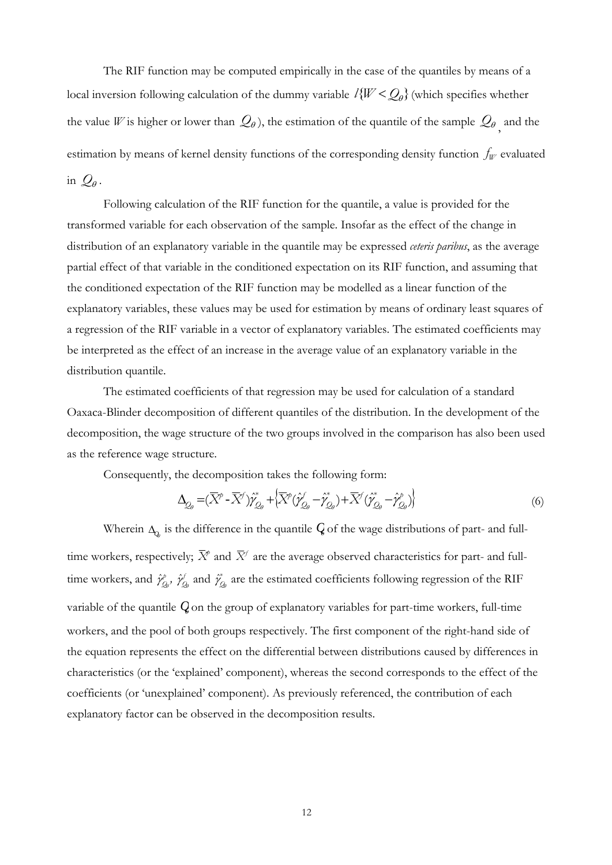The RIF function may be computed empirically in the case of the quantiles by means of a local inversion following calculation of the dummy variable  $l\{W < Q_{\theta}\}\$  (which specifies whether the value *W* is higher or lower than  $Q_{\theta}$ ), the estimation of the quantile of the sample  $Q_{\theta}$ <sub>,</sub> and the estimation by means of kernel density functions of the corresponding density function  $f_W$  evaluated in  $\mathcal{Q}_\theta$ .

Following calculation of the RIF function for the quantile, a value is provided for the transformed variable for each observation of the sample. Insofar as the effect of the change in distribution of an explanatory variable in the quantile may be expressed *ceteris paribus*, as the average partial effect of that variable in the conditioned expectation on its RIF function, and assuming that the conditioned expectation of the RIF function may be modelled as a linear function of the explanatory variables, these values may be used for estimation by means of ordinary least squares of a regression of the RIF variable in a vector of explanatory variables. The estimated coefficients may be interpreted as the effect of an increase in the average value of an explanatory variable in the distribution quantile.

The estimated coefficients of that regression may be used for calculation of a standard Oaxaca-Blinder decomposition of different quantiles of the distribution. In the development of the decomposition, the wage structure of the two groups involved in the comparison has also been used as the reference wage structure.

Consequently, the decomposition takes the following form:

$$
\Delta_{Q_{\theta}} = (\overline{X}^{\rho} - \overline{X}^{\prime}) \hat{\gamma}_{Q_{\theta}}^* + \left\{ \overline{X}^{\rho} (\hat{\gamma}_{Q_{\theta}}^{\prime} - \hat{\gamma}_{Q_{\theta}}^*) + \overline{X}^{\prime} (\hat{\gamma}_{Q_{\theta}}^* - \hat{\gamma}_{Q_{\theta}}^{\rho}) \right\} \tag{6}
$$

Wherein  $\Delta_{\!Q}$  is the difference in the quantile  $Q$  of the wage distributions of part- and fulltime workers, respectively;  $\bar{X}^p$  and  $\bar{X}^f$  are the average observed characteristics for part- and fulltime workers, and  $\hat{\gamma}_{Q_0}^{\dagger}$ ,  $\hat{\gamma}_{Q_0}^{\dagger}$  and  $\hat{\gamma}_{Q_0}^*$  are the estimated coefficients following regression of the RIF variable of the quantile *Q* on the group of explanatory variables for part-time workers, full-time workers, and the pool of both groups respectively. The first component of the right-hand side of the equation represents the effect on the differential between distributions caused by differences in characteristics (or the 'explained' component), whereas the second corresponds to the effect of the coefficients (or 'unexplained' component). As previously referenced, the contribution of each explanatory factor can be observed in the decomposition results.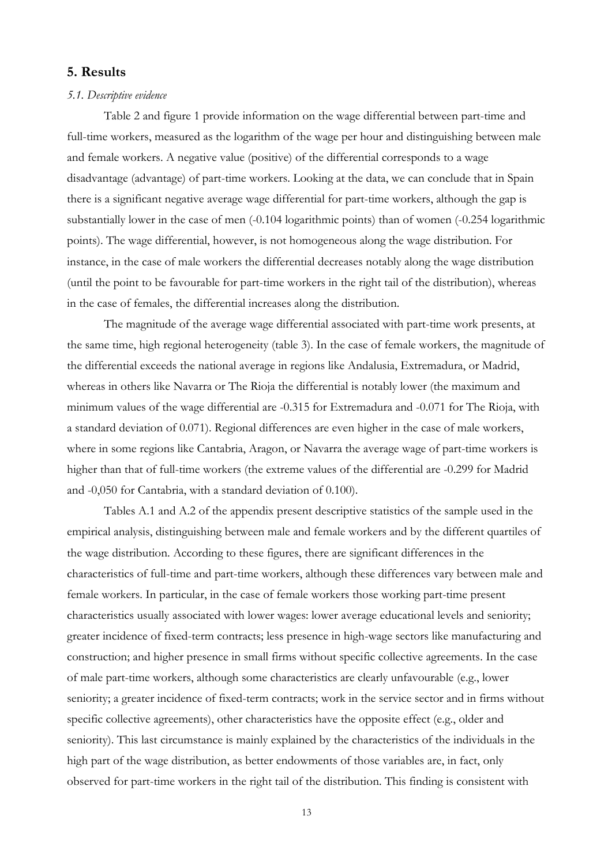#### **5. Results**

#### *5.1. Descriptive evidence*

Table 2 and figure 1 provide information on the wage differential between part-time and full-time workers, measured as the logarithm of the wage per hour and distinguishing between male and female workers. A negative value (positive) of the differential corresponds to a wage disadvantage (advantage) of part-time workers. Looking at the data, we can conclude that in Spain there is a significant negative average wage differential for part-time workers, although the gap is substantially lower in the case of men (-0.104 logarithmic points) than of women (-0.254 logarithmic points). The wage differential, however, is not homogeneous along the wage distribution. For instance, in the case of male workers the differential decreases notably along the wage distribution (until the point to be favourable for part-time workers in the right tail of the distribution), whereas in the case of females, the differential increases along the distribution.

The magnitude of the average wage differential associated with part-time work presents, at the same time, high regional heterogeneity (table 3). In the case of female workers, the magnitude of the differential exceeds the national average in regions like Andalusia, Extremadura, or Madrid, whereas in others like Navarra or The Rioja the differential is notably lower (the maximum and minimum values of the wage differential are -0.315 for Extremadura and -0.071 for The Rioja, with a standard deviation of 0.071). Regional differences are even higher in the case of male workers, where in some regions like Cantabria, Aragon, or Navarra the average wage of part-time workers is higher than that of full-time workers (the extreme values of the differential are -0.299 for Madrid and -0,050 for Cantabria, with a standard deviation of 0.100).

Tables A.1 and A.2 of the appendix present descriptive statistics of the sample used in the empirical analysis, distinguishing between male and female workers and by the different quartiles of the wage distribution. According to these figures, there are significant differences in the characteristics of full-time and part-time workers, although these differences vary between male and female workers. In particular, in the case of female workers those working part-time present characteristics usually associated with lower wages: lower average educational levels and seniority; greater incidence of fixed-term contracts; less presence in high-wage sectors like manufacturing and construction; and higher presence in small firms without specific collective agreements. In the case of male part-time workers, although some characteristics are clearly unfavourable (e.g., lower seniority; a greater incidence of fixed-term contracts; work in the service sector and in firms without specific collective agreements), other characteristics have the opposite effect (e.g., older and seniority). This last circumstance is mainly explained by the characteristics of the individuals in the high part of the wage distribution, as better endowments of those variables are, in fact, only observed for part-time workers in the right tail of the distribution. This finding is consistent with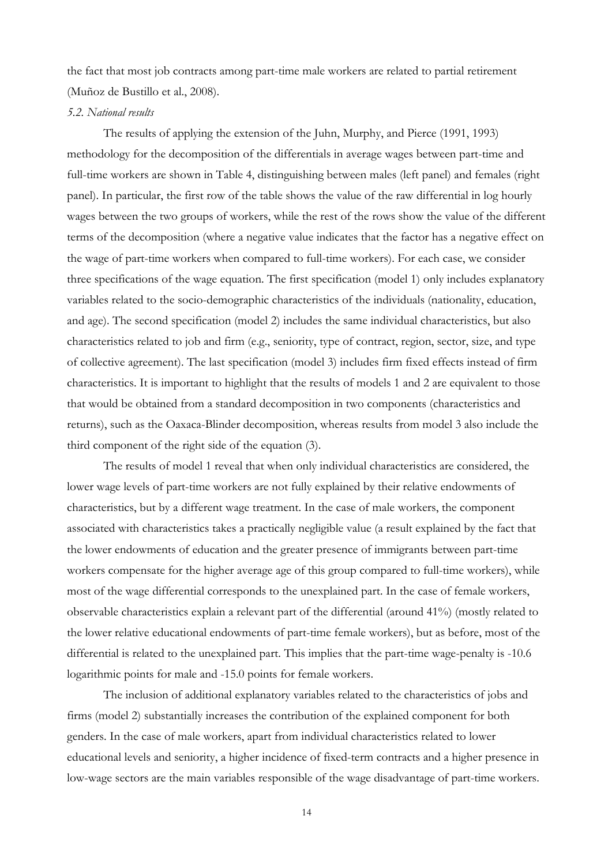the fact that most job contracts among part-time male workers are related to partial retirement (Muñoz de Bustillo et al., 2008).

#### *5.2. National results*

The results of applying the extension of the Juhn, Murphy, and Pierce (1991, 1993) methodology for the decomposition of the differentials in average wages between part-time and full-time workers are shown in Table 4, distinguishing between males (left panel) and females (right panel). In particular, the first row of the table shows the value of the raw differential in log hourly wages between the two groups of workers, while the rest of the rows show the value of the different terms of the decomposition (where a negative value indicates that the factor has a negative effect on the wage of part-time workers when compared to full-time workers). For each case, we consider three specifications of the wage equation. The first specification (model 1) only includes explanatory variables related to the socio-demographic characteristics of the individuals (nationality, education, and age). The second specification (model 2) includes the same individual characteristics, but also characteristics related to job and firm (e.g., seniority, type of contract, region, sector, size, and type of collective agreement). The last specification (model 3) includes firm fixed effects instead of firm characteristics. It is important to highlight that the results of models 1 and 2 are equivalent to those that would be obtained from a standard decomposition in two components (characteristics and returns), such as the Oaxaca-Blinder decomposition, whereas results from model 3 also include the third component of the right side of the equation (3).

The results of model 1 reveal that when only individual characteristics are considered, the lower wage levels of part-time workers are not fully explained by their relative endowments of characteristics, but by a different wage treatment. In the case of male workers, the component associated with characteristics takes a practically negligible value (a result explained by the fact that the lower endowments of education and the greater presence of immigrants between part-time workers compensate for the higher average age of this group compared to full-time workers), while most of the wage differential corresponds to the unexplained part. In the case of female workers, observable characteristics explain a relevant part of the differential (around 41%) (mostly related to the lower relative educational endowments of part-time female workers), but as before, most of the differential is related to the unexplained part. This implies that the part-time wage-penalty is -10.6 logarithmic points for male and -15.0 points for female workers.

The inclusion of additional explanatory variables related to the characteristics of jobs and firms (model 2) substantially increases the contribution of the explained component for both genders. In the case of male workers, apart from individual characteristics related to lower educational levels and seniority, a higher incidence of fixed-term contracts and a higher presence in low-wage sectors are the main variables responsible of the wage disadvantage of part-time workers.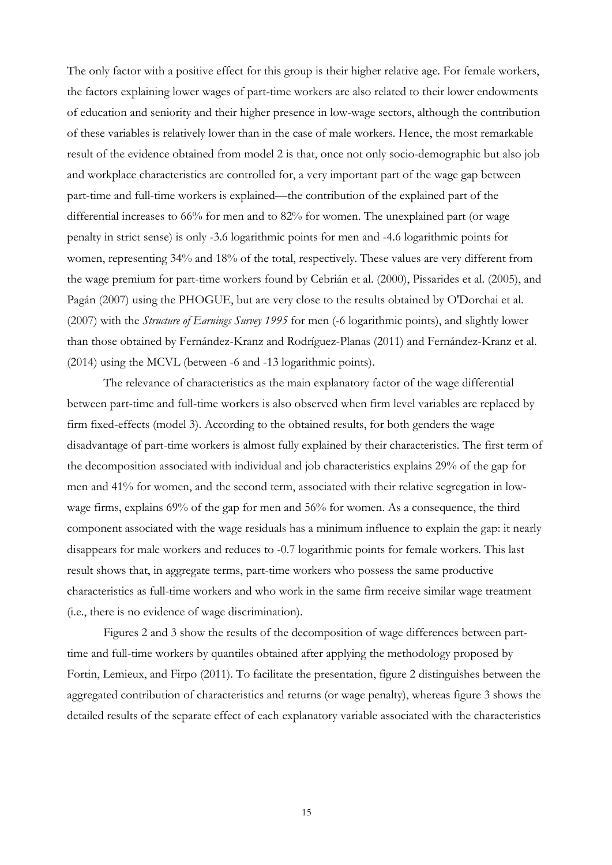The only factor with a positive effect for this group is their higher relative age. For female workers, the factors explaining lower wages of part-time workers are also related to their lower endowments of education and seniority and their higher presence in low-wage sectors, although the contribution of these variables is relatively lower than in the case of male workers. Hence, the most remarkable result of the evidence obtained from model 2 is that, once not only socio-demographic but also job and workplace characteristics are controlled for, a very important part of the wage gap between part-time and full-time workers is explained—the contribution of the explained part of the differential increases to 66% for men and to 82% for women. The unexplained part (or wage penalty in strict sense) is only -3.6 logarithmic points for men and -4.6 logarithmic points for women, representing 34% and 18% of the total, respectively. These values are very different from the wage premium for part-time workers found by Cebrián et al. (2000), Pissarides et al. (2005), and Pagán (2007) using the PHOGUE, but are very close to the results obtained by O'Dorchai et al. (2007) with the *Structure of Earnings Survey 1995* for men (-6 logarithmic points), and slightly lower than those obtained by Fernández-Kranz and Rodríguez-Planas (2011) and Fernández-Kranz et al. (2014) using the MCVL (between -6 and -13 logarithmic points).

The relevance of characteristics as the main explanatory factor of the wage differential between part-time and full-time workers is also observed when firm level variables are replaced by firm fixed-effects (model 3). According to the obtained results, for both genders the wage disadvantage of part-time workers is almost fully explained by their characteristics. The first term of the decomposition associated with individual and job characteristics explains 29% of the gap for men and 41% for women, and the second term, associated with their relative segregation in lowwage firms, explains 69% of the gap for men and 56% for women. As a consequence, the third component associated with the wage residuals has a minimum influence to explain the gap: it nearly disappears for male workers and reduces to -0.7 logarithmic points for female workers. This last result shows that, in aggregate terms, part-time workers who possess the same productive characteristics as full-time workers and who work in the same firm receive similar wage treatment (i.e., there is no evidence of wage discrimination).

Figures 2 and 3 show the results of the decomposition of wage differences between parttime and full-time workers by quantiles obtained after applying the methodology proposed by Fortin, Lemieux, and Firpo (2011). To facilitate the presentation, figure 2 distinguishes between the aggregated contribution of characteristics and returns (or wage penalty), whereas figure 3 shows the detailed results of the separate effect of each explanatory variable associated with the characteristics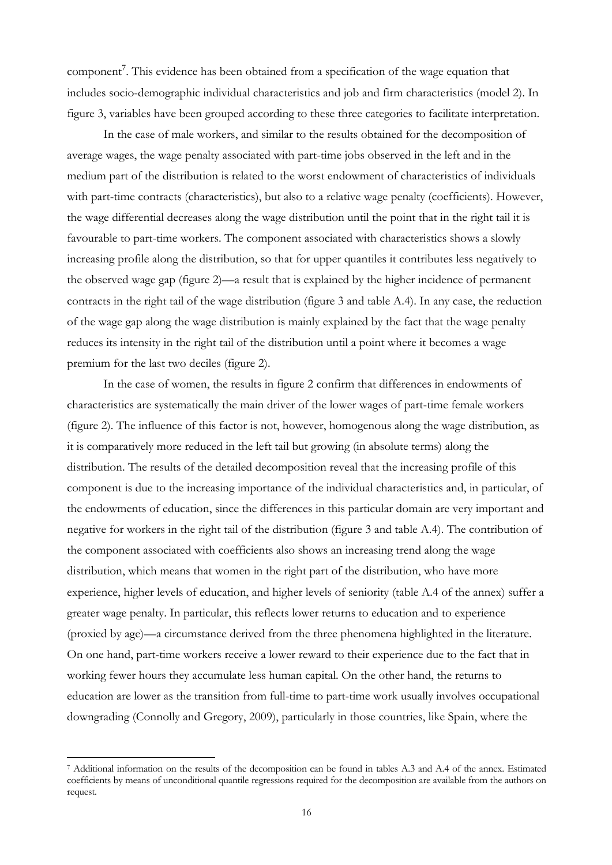component<sup>7</sup>. This evidence has been obtained from a specification of the wage equation that includes socio-demographic individual characteristics and job and firm characteristics (model 2). In figure 3, variables have been grouped according to these three categories to facilitate interpretation.

In the case of male workers, and similar to the results obtained for the decomposition of average wages, the wage penalty associated with part-time jobs observed in the left and in the medium part of the distribution is related to the worst endowment of characteristics of individuals with part-time contracts (characteristics), but also to a relative wage penalty (coefficients). However, the wage differential decreases along the wage distribution until the point that in the right tail it is favourable to part-time workers. The component associated with characteristics shows a slowly increasing profile along the distribution, so that for upper quantiles it contributes less negatively to the observed wage gap (figure 2)—a result that is explained by the higher incidence of permanent contracts in the right tail of the wage distribution (figure 3 and table A.4). In any case, the reduction of the wage gap along the wage distribution is mainly explained by the fact that the wage penalty reduces its intensity in the right tail of the distribution until a point where it becomes a wage premium for the last two deciles (figure 2).

In the case of women, the results in figure 2 confirm that differences in endowments of characteristics are systematically the main driver of the lower wages of part-time female workers (figure 2). The influence of this factor is not, however, homogenous along the wage distribution, as it is comparatively more reduced in the left tail but growing (in absolute terms) along the distribution. The results of the detailed decomposition reveal that the increasing profile of this component is due to the increasing importance of the individual characteristics and, in particular, of the endowments of education, since the differences in this particular domain are very important and negative for workers in the right tail of the distribution (figure 3 and table A.4). The contribution of the component associated with coefficients also shows an increasing trend along the wage distribution, which means that women in the right part of the distribution, who have more experience, higher levels of education, and higher levels of seniority (table A.4 of the annex) suffer a greater wage penalty. In particular, this reflects lower returns to education and to experience (proxied by age)—a circumstance derived from the three phenomena highlighted in the literature. On one hand, part-time workers receive a lower reward to their experience due to the fact that in working fewer hours they accumulate less human capital. On the other hand, the returns to education are lower as the transition from full-time to part-time work usually involves occupational downgrading (Connolly and Gregory, 2009), particularly in those countries, like Spain, where the

<sup>7</sup> Additional information on the results of the decomposition can be found in tables A.3 and A.4 of the annex. Estimated coefficients by means of unconditional quantile regressions required for the decomposition are available from the authors on request.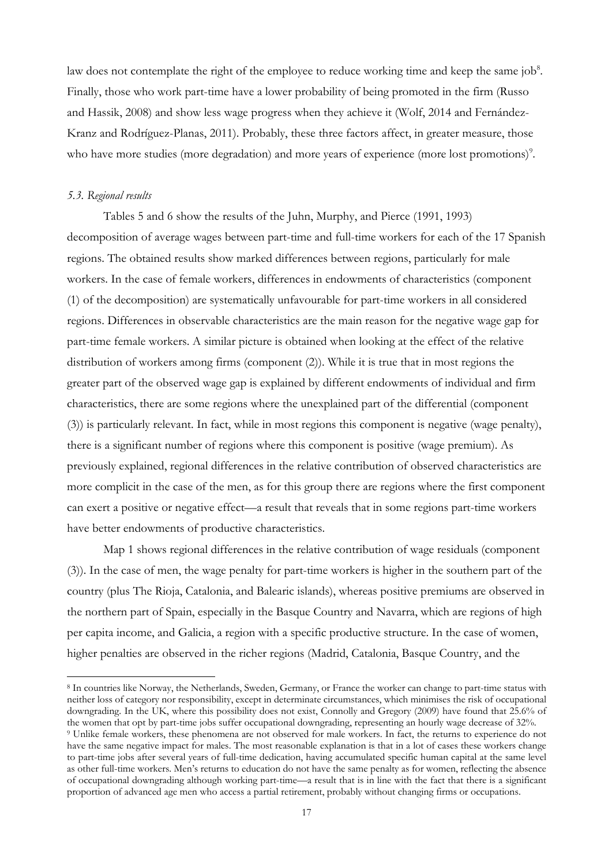law does not contemplate the right of the employee to reduce working time and keep the same job<sup>8</sup>. Finally, those who work part-time have a lower probability of being promoted in the firm (Russo and Hassik, 2008) and show less wage progress when they achieve it (Wolf, 2014 and Fernández-Kranz and Rodríguez-Planas, 2011). Probably, these three factors affect, in greater measure, those who have more studies (more degradation) and more years of experience (more lost promotions)<sup>9</sup>.

#### *5.3. Regional results*

1

Tables 5 and 6 show the results of the Juhn, Murphy, and Pierce (1991, 1993) decomposition of average wages between part-time and full-time workers for each of the 17 Spanish regions. The obtained results show marked differences between regions, particularly for male workers. In the case of female workers, differences in endowments of characteristics (component (1) of the decomposition) are systematically unfavourable for part-time workers in all considered regions. Differences in observable characteristics are the main reason for the negative wage gap for part-time female workers. A similar picture is obtained when looking at the effect of the relative distribution of workers among firms (component (2)). While it is true that in most regions the greater part of the observed wage gap is explained by different endowments of individual and firm characteristics, there are some regions where the unexplained part of the differential (component (3)) is particularly relevant. In fact, while in most regions this component is negative (wage penalty), there is a significant number of regions where this component is positive (wage premium). As previously explained, regional differences in the relative contribution of observed characteristics are more complicit in the case of the men, as for this group there are regions where the first component can exert a positive or negative effect—a result that reveals that in some regions part-time workers have better endowments of productive characteristics.

Map 1 shows regional differences in the relative contribution of wage residuals (component (3)). In the case of men, the wage penalty for part-time workers is higher in the southern part of the country (plus The Rioja, Catalonia, and Balearic islands), whereas positive premiums are observed in the northern part of Spain, especially in the Basque Country and Navarra, which are regions of high per capita income, and Galicia, a region with a specific productive structure. In the case of women, higher penalties are observed in the richer regions (Madrid, Catalonia, Basque Country, and the

<sup>8</sup> In countries like Norway, the Netherlands, Sweden, Germany, or France the worker can change to part-time status with neither loss of category nor responsibility, except in determinate circumstances, which minimises the risk of occupational downgrading. In the UK, where this possibility does not exist, Connolly and Gregory (2009) have found that 25.6% of the women that opt by part-time jobs suffer occupational downgrading, representing an hourly wage decrease of 32%.<br><sup>9</sup> Unlike female workers, these phenomena are not observed for male workers. In fact, the returns to exper have the same negative impact for males. The most reasonable explanation is that in a lot of cases these workers change to part-time jobs after several years of full-time dedication, having accumulated specific human capital at the same level as other full-time workers. Men's returns to education do not have the same penalty as for women, reflecting the absence of occupational downgrading although working part-time—a result that is in line with the fact that there is a significant proportion of advanced age men who access a partial retirement, probably without changing firms or occupations.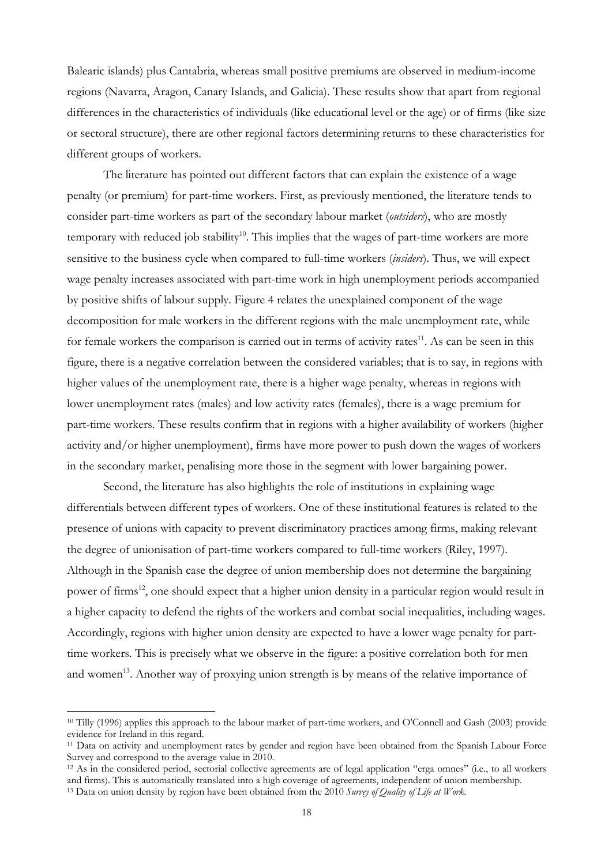Balearic islands) plus Cantabria, whereas small positive premiums are observed in medium-income regions (Navarra, Aragon, Canary Islands, and Galicia). These results show that apart from regional differences in the characteristics of individuals (like educational level or the age) or of firms (like size or sectoral structure), there are other regional factors determining returns to these characteristics for different groups of workers.

The literature has pointed out different factors that can explain the existence of a wage penalty (or premium) for part-time workers. First, as previously mentioned, the literature tends to consider part-time workers as part of the secondary labour market (*outsiders*), who are mostly temporary with reduced job stability<sup>10</sup>. This implies that the wages of part-time workers are more sensitive to the business cycle when compared to full-time workers (*insiders*). Thus, we will expect wage penalty increases associated with part-time work in high unemployment periods accompanied by positive shifts of labour supply. Figure 4 relates the unexplained component of the wage decomposition for male workers in the different regions with the male unemployment rate, while for female workers the comparison is carried out in terms of activity rates $11$ . As can be seen in this figure, there is a negative correlation between the considered variables; that is to say, in regions with higher values of the unemployment rate, there is a higher wage penalty, whereas in regions with lower unemployment rates (males) and low activity rates (females), there is a wage premium for part-time workers. These results confirm that in regions with a higher availability of workers (higher activity and/or higher unemployment), firms have more power to push down the wages of workers in the secondary market, penalising more those in the segment with lower bargaining power.

Second, the literature has also highlights the role of institutions in explaining wage differentials between different types of workers. One of these institutional features is related to the presence of unions with capacity to prevent discriminatory practices among firms, making relevant the degree of unionisation of part-time workers compared to full-time workers (Riley, 1997). Although in the Spanish case the degree of union membership does not determine the bargaining power of firms<sup>12</sup>, one should expect that a higher union density in a particular region would result in a higher capacity to defend the rights of the workers and combat social inequalities, including wages. Accordingly, regions with higher union density are expected to have a lower wage penalty for parttime workers. This is precisely what we observe in the figure: a positive correlation both for men and women<sup>13</sup>. Another way of proxying union strength is by means of the relative importance of

<sup>&</sup>lt;sup>10</sup> Tilly (1996) applies this approach to the labour market of part-time workers, and O'Connell and Gash (2003) provide evidence for Ireland in this regard.

<sup>&</sup>lt;sup>11</sup> Data on activity and unemployment rates by gender and region have been obtained from the Spanish Labour Force Survey and correspond to the average value in 2010.

<sup>&</sup>lt;sup>12</sup> As in the considered period, sectorial collective agreements are of legal application "erga omnes" (i.e., to all workers and firms). This is automatically translated into a high coverage of agreements, independent of union membership. 13 Data on union density by region have been obtained from the 2010 *Survey of Quality of Life at Work.*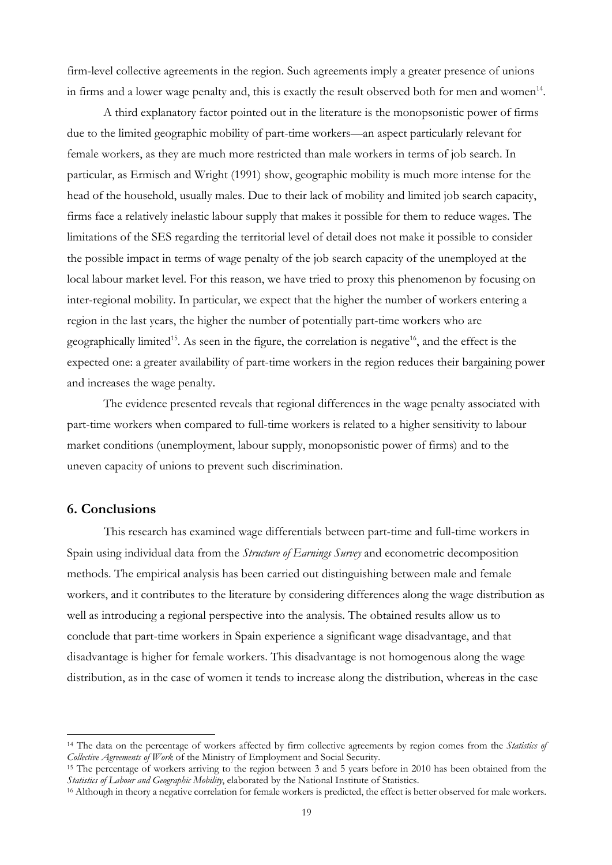firm-level collective agreements in the region. Such agreements imply a greater presence of unions in firms and a lower wage penalty and, this is exactly the result observed both for men and women<sup>14</sup>.

A third explanatory factor pointed out in the literature is the monopsonistic power of firms due to the limited geographic mobility of part-time workers—an aspect particularly relevant for female workers, as they are much more restricted than male workers in terms of job search. In particular, as Ermisch and Wright (1991) show, geographic mobility is much more intense for the head of the household, usually males. Due to their lack of mobility and limited job search capacity, firms face a relatively inelastic labour supply that makes it possible for them to reduce wages. The limitations of the SES regarding the territorial level of detail does not make it possible to consider the possible impact in terms of wage penalty of the job search capacity of the unemployed at the local labour market level. For this reason, we have tried to proxy this phenomenon by focusing on inter-regional mobility. In particular, we expect that the higher the number of workers entering a region in the last years, the higher the number of potentially part-time workers who are geographically limited<sup>15</sup>. As seen in the figure, the correlation is negative<sup>16</sup>, and the effect is the expected one: a greater availability of part-time workers in the region reduces their bargaining power and increases the wage penalty.

The evidence presented reveals that regional differences in the wage penalty associated with part-time workers when compared to full-time workers is related to a higher sensitivity to labour market conditions (unemployment, labour supply, monopsonistic power of firms) and to the uneven capacity of unions to prevent such discrimination.

### **6. Conclusions**

1

This research has examined wage differentials between part-time and full-time workers in Spain using individual data from the *Structure of Earnings Survey* and econometric decomposition methods. The empirical analysis has been carried out distinguishing between male and female workers, and it contributes to the literature by considering differences along the wage distribution as well as introducing a regional perspective into the analysis. The obtained results allow us to conclude that part-time workers in Spain experience a significant wage disadvantage, and that disadvantage is higher for female workers. This disadvantage is not homogenous along the wage distribution, as in the case of women it tends to increase along the distribution, whereas in the case

<sup>&</sup>lt;sup>14</sup> The data on the percentage of workers affected by firm collective agreements by region comes from the *Statistics of Collective Agreements of Work* of the Ministry of Employment and Social Security.

<sup>&</sup>lt;sup>15</sup> The percentage of workers arriving to the region between 3 and 5 years before in 2010 has been obtained from the *Statistics of Labour and Geographic Mobility*, elaborated by the National Institute of Statistics.

<sup>&</sup>lt;sup>16</sup> Although in theory a negative correlation for female workers is predicted, the effect is better observed for male workers.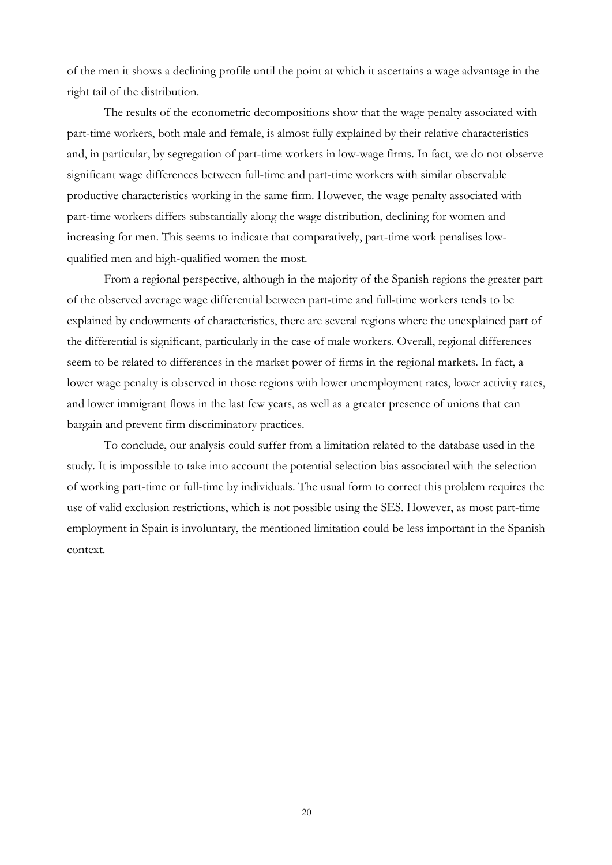of the men it shows a declining profile until the point at which it ascertains a wage advantage in the right tail of the distribution.

The results of the econometric decompositions show that the wage penalty associated with part-time workers, both male and female, is almost fully explained by their relative characteristics and, in particular, by segregation of part-time workers in low-wage firms. In fact, we do not observe significant wage differences between full-time and part-time workers with similar observable productive characteristics working in the same firm. However, the wage penalty associated with part-time workers differs substantially along the wage distribution, declining for women and increasing for men. This seems to indicate that comparatively, part-time work penalises lowqualified men and high-qualified women the most.

From a regional perspective, although in the majority of the Spanish regions the greater part of the observed average wage differential between part-time and full-time workers tends to be explained by endowments of characteristics, there are several regions where the unexplained part of the differential is significant, particularly in the case of male workers. Overall, regional differences seem to be related to differences in the market power of firms in the regional markets. In fact, a lower wage penalty is observed in those regions with lower unemployment rates, lower activity rates, and lower immigrant flows in the last few years, as well as a greater presence of unions that can bargain and prevent firm discriminatory practices.

To conclude, our analysis could suffer from a limitation related to the database used in the study. It is impossible to take into account the potential selection bias associated with the selection of working part-time or full-time by individuals. The usual form to correct this problem requires the use of valid exclusion restrictions, which is not possible using the SES. However, as most part-time employment in Spain is involuntary, the mentioned limitation could be less important in the Spanish context.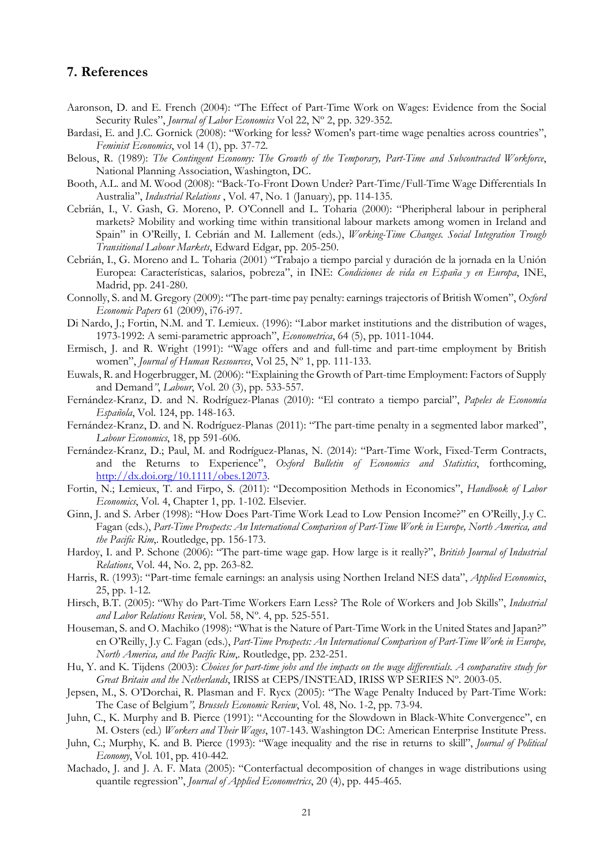### **7. References**

- Aaronson, D. and E. French (2004): "The Effect of Part-Time Work on Wages: Evidence from the Social Security Rules", *Journal of Labor Economics* Vol 22, Nº 2, pp. 329-352.
- Bardasi, E. and J.C. Gornick (2008): "Working for less? Women's part-time wage penalties across countries", *Feminist Economics*, vol 14 (1), pp. 37-72.
- Belous, R. (1989): *The Contingent Economy: The Growth of the Temporary, Part-Time and Subcontracted Workforce*, National Planning Association, Washington, DC.
- Booth, A.L. and M. Wood (2008): "Back-To-Front Down Under? Part-Time/Full-Time Wage Differentials In Australia", *Industrial Relations* , Vol. 47, No. 1 (January), pp. 114-135.
- Cebrián, I., V. Gash, G. Moreno, P. O'Connell and L. Toharia (2000): "Pheripheral labour in peripheral markets? Mobility and working time within transitional labour markets among women in Ireland and Spain" in O'Reilly, I. Cebrián and M. Lallement (eds.), *Working-Time Changes. Social Integration Trough Transitional Labour Markets*, Edward Edgar, pp. 205-250.
- Cebrián, I., G. Moreno and L. Toharia (2001) "Trabajo a tiempo parcial y duración de la jornada en la Unión Europea: Características, salarios, pobreza", in INE: *Condiciones de vida en España y en Europa*, INE, Madrid, pp. 241-280.
- Connolly, S. and M. Gregory (2009): "The part-time pay penalty: earnings trajectoris of British Women", *Oxford Economic Papers* 61 (2009), i76-i97.
- Di Nardo, J.; Fortin, N.M. and T. Lemieux. (1996): "Labor market institutions and the distribution of wages, 1973-1992: A semi-parametric approach", *Econometrica*, 64 (5), pp. 1011-1044.
- Ermisch, J. and R. Wright (1991): "Wage offers and and full-time and part-time employment by British women", *Journal of Human Ressources*, Vol 25, Nº 1, pp. 111-133.
- Euwals, R. and Hogerbrugger, M. (2006): "Explaining the Growth of Part-time Employment: Factors of Supply and Demand*"*, *Labour*, Vol. 20 (3), pp. 533-557.
- Fernández-Kranz, D. and N. Rodríguez-Planas (2010): "El contrato a tiempo parcial", *Papeles de Economía Española*, Vol. 124, pp. 148-163.
- Fernández-Kranz, D. and N. Rodríguez-Planas (2011): "The part-time penalty in a segmented labor marked", *Labour Economics*, 18, pp 591-606.
- Fernández-Kranz, D.; Paul, M. and Rodríguez-Planas, N. (2014): "Part-Time Work, Fixed-Term Contracts, and the Returns to Experience", *Oxford Bulletin of Economics and Statistics*, forthcoming, http://dx.doi.org/10.1111/obes.12073.
- Fortin, N.; Lemieux, T. and Firpo, S. (2011): "Decomposition Methods in Economics", *Handbook of Labor Economics*, Vol. 4, Chapter 1, pp. 1-102. Elsevier.
- Ginn, J. and S. Arber (1998): ''How Does Part-Time Work Lead to Low Pension Income?'' en O'Reilly, J.y C. Fagan (eds.), *Part-Time Prospects: An International Comparison of Part-Time Work in Europe, North America, and the Pacific Rim*,. Routledge, pp. 156-173.
- Hardoy, I. and P. Schone (2006): "The part-time wage gap. How large is it really?", *British Journal of Industrial Relations*, Vol. 44, No. 2, pp. 263-82.
- Harris, R. (1993): "Part-time female earnings: an analysis using Northen Ireland NES data", *Applied Economics*, 25, pp. 1-12.
- Hirsch, B.T. (2005): "Why do Part-Time Workers Earn Less? The Role of Workers and Job Skills", *Industrial and Labor Relations Review*, Vol. 58, Nº. 4, pp. 525-551.
- Houseman, S. and O. Machiko (1998): ''What is the Nature of Part-Time Work in the United States and Japan?'' en O'Reilly, J.y C. Fagan (eds.), *Part-Time Prospects: An International Comparison of Part-Time Work in Europe, North America, and the Pacific Rim*,. Routledge, pp. 232-251.
- Hu, Y. and K. Tijdens (2003): *Choices for part-time jobs and the impacts on the wage differentials. A comparative study for Great Britain and the Netherlands*, IRISS at CEPS/INSTEAD, IRISS WP SERIES Nº. 2003-05.
- Jepsen, M., S. O'Dorchai, R. Plasman and F. Rycx (2005): "The Wage Penalty Induced by Part-Time Work: The Case of Belgium*", Brussels Economic Review*, Vol. 48, No. 1-2, pp. 73-94.
- Juhn, C., K. Murphy and B. Pierce (1991): "Accounting for the Slowdown in Black-White Convergence", en M. Osters (ed.) *Workers and Their Wages*, 107-143. Washington DC: American Enterprise Institute Press.
- Juhn, C.; Murphy, K. and B. Pierce (1993): "Wage inequality and the rise in returns to skill", *Journal of Political Economy*, Vol. 101, pp. 410-442.
- Machado, J. and J. A. F. Mata (2005): "Conterfactual decomposition of changes in wage distributions using quantile regression", *Journal of Applied Econometrics*, 20 (4), pp. 445-465.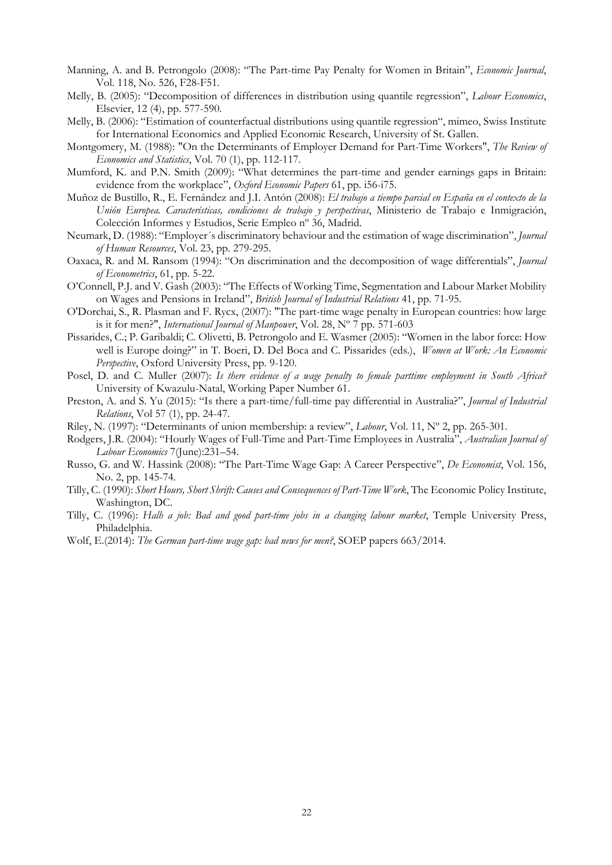- Manning, A. and B. Petrongolo (2008): "The Part-time Pay Penalty for Women in Britain", *Economic Journal*, Vol. 118, No. 526, F28-F51.
- Melly, B. (2005): "Decomposition of differences in distribution using quantile regression", *Labour Economics*, Elsevier, 12 (4), pp. 577-590.
- Melly, B. (2006): "Estimation of counterfactual distributions using quantile regression", mimeo, Swiss Institute for International Economics and Applied Economic Research, University of St. Gallen.
- Montgomery, M. (1988): "On the Determinants of Employer Demand for Part-Time Workers", *The Review of Economics and Statistics*, Vol. 70 (1), pp. 112-117.
- Mumford, K. and P.N. Smith (2009): "What determines the part-time and gender earnings gaps in Britain: evidence from the workplace", *Oxford Economic Papers* 61, pp. i56-i75.
- Muñoz de Bustillo, R., E. Fernández and J.I. Antón (2008): *El trabajo a tiempo parcial en España en el contexto de la Unión Europea. Características, condiciones de trabajo y perspectivas*, Ministerio de Trabajo e Inmigración, Colección Informes y Estudios, Serie Empleo nº 36, Madrid.
- Neumark, D. (1988): "Employer´s discriminatory behaviour and the estimation of wage discrimination", *Journal of Human Resources*, Vol. 23, pp. 279-295.
- Oaxaca, R. and M. Ransom (1994): "On discrimination and the decomposition of wage differentials", *Journal of Econometrics*, 61, pp. 5-22.
- O'Connell, P.J. and V. Gash (2003): "The Effects of Working Time, Segmentation and Labour Market Mobility on Wages and Pensions in Ireland", *British Journal of Industrial Relations* 41, pp. 71-95.
- O'Dorchai, S., R. Plasman and F. Rycx, (2007): "The part-time wage penalty in European countries: how large is it for men?", *International Journal of Manpower*, Vol. 28, Nº 7 pp. 571-603
- Pissarides, C.; P. Garibaldi; C. Olivetti, B. Petrongolo and E. Wasmer (2005): "Women in the labor force: How well is Europe doing?" in T. Boeri, D. Del Boca and C. Pissarides (eds.), *Women at Work: An Economic Perspective*, Oxford University Press, pp. 9-120.
- Posel, D. and C. Muller (2007): *Is there evidence of a wage penalty to female parttime employment in South Africa?* University of Kwazulu-Natal, Working Paper Number 61.
- Preston, A. and S. Yu (2015): "Is there a part-time/full-time pay differential in Australia?", *Journal of Industrial Relations*, Vol 57 (1), pp. 24-47.
- Riley, N. (1997): "Determinants of union membership: a review", *Labour*, Vol. 11, Nº 2, pp. 265-301.
- Rodgers, J.R. (2004): "Hourly Wages of Full-Time and Part-Time Employees in Australia", *Australian Journal of Labour Economics* 7(June):231–54.
- Russo, G. and W. Hassink (2008): "The Part-Time Wage Gap: A Career Perspective", *De Economist*, Vol. 156, No. 2, pp. 145-74.
- Tilly, C. (1990): *Short Hours, Short Shrift: Causes and Consequences of Part-Time Work*, The Economic Policy Institute, Washington, DC.
- Tilly, C. (1996): *Halh a job: Bad and good part-time jobs in a changing labour market*, Temple University Press, Philadelphia.
- Wolf, E.(2014): *The German part-time wage gap: bad news for men?*, SOEP papers 663/2014.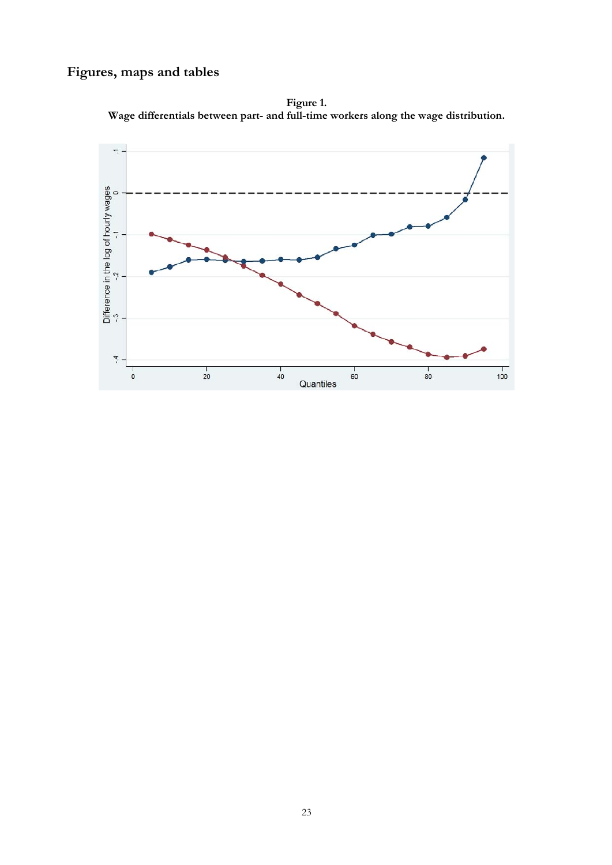## **Figures, maps and tables**

**Figure 1. Wage differentials between part- and full-time workers along the wage distribution.** 

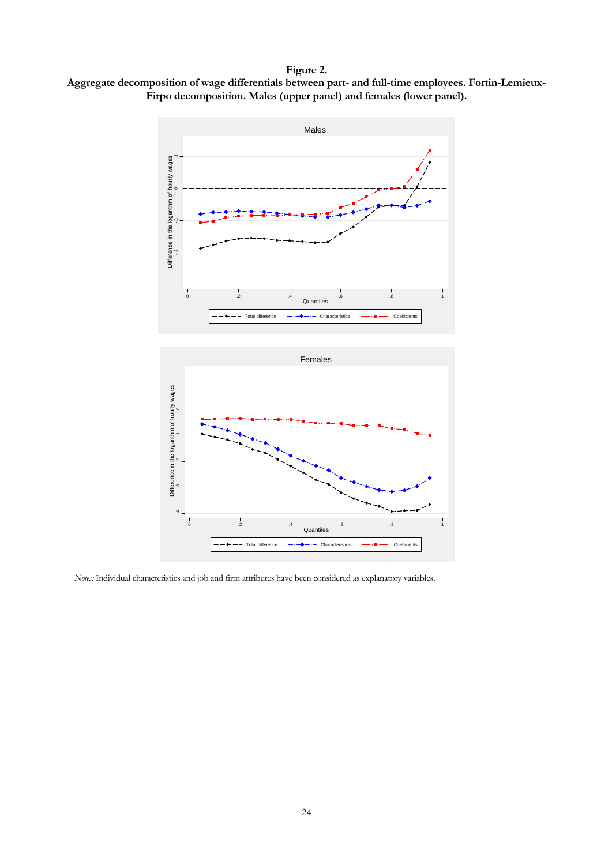**Figure 2. Aggregate decomposition of wage differentials between part- and full-time employees. Fortin-Lemieux-Firpo decomposition. Males (upper panel) and females (lower panel).** 



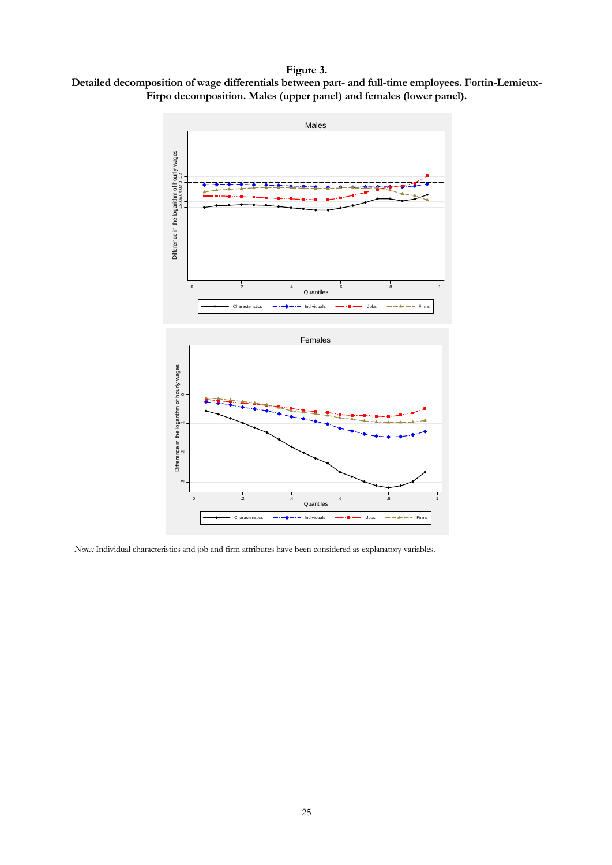**Figure 3. Detailed decomposition of wage differentials between part- and full-time employees. Fortin-Lemieux-Firpo decomposition. Males (upper panel) and females (lower panel).** 

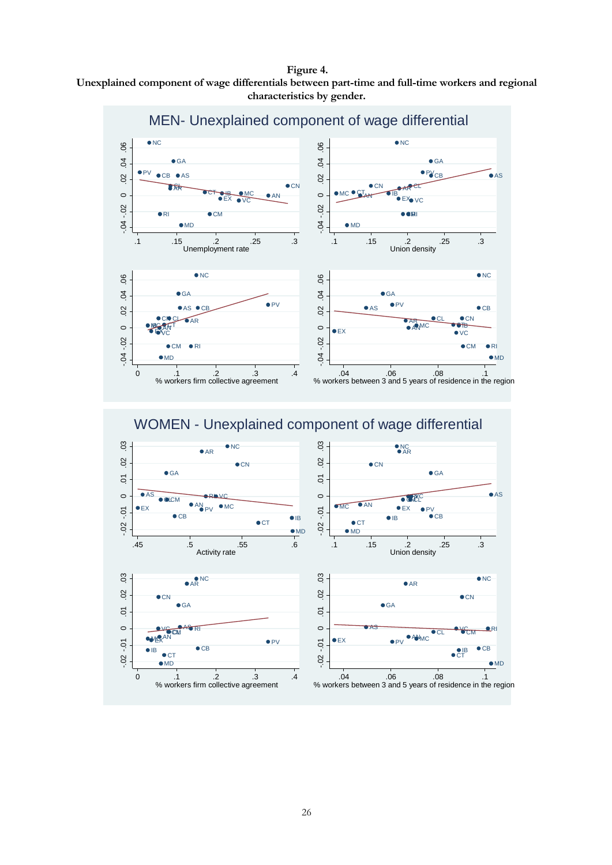**Figure 4. Unexplained component of wage differentials between part-time and full-time workers and regional characteristics by gender.** 



WOMEN - Unexplained component of wage differential

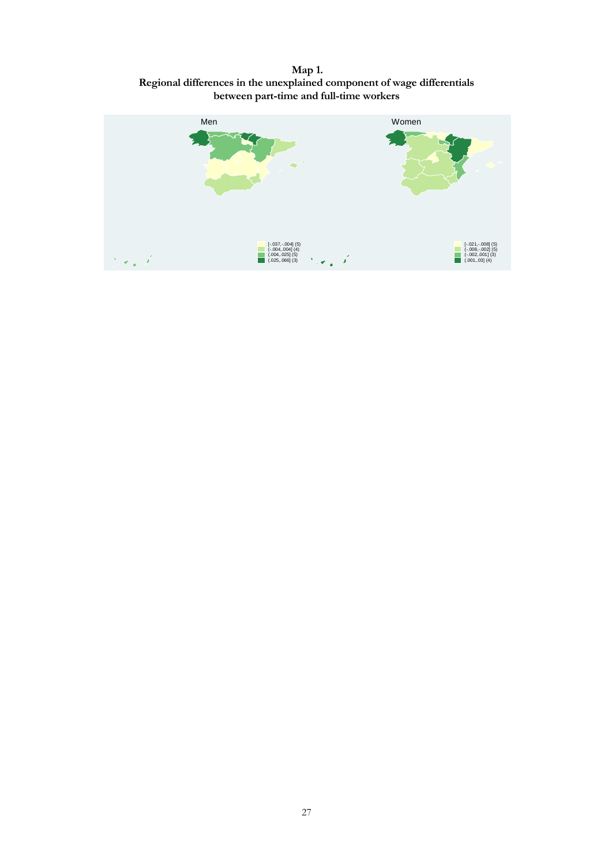**Map 1. Regional differences in the unexplained component of wage differentials between part-time and full-time workers** 

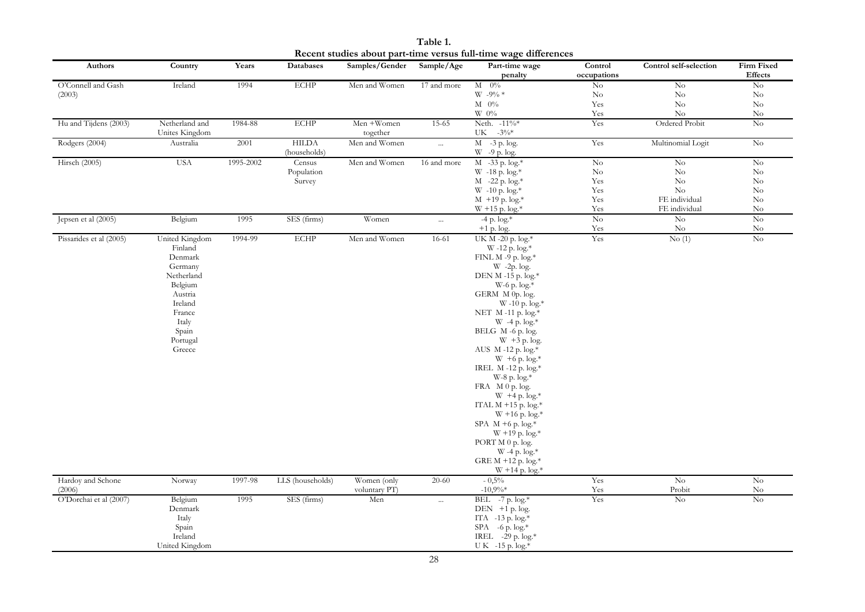|                         |                                                                                                                                                  | Recent studies about part-time versus full-time wage differences |                              |                        |             |                                                                                                                                                                                                                                                                                                                                                                                                                                                                                                                                                  |                        |                        |                       |  |  |  |  |  |
|-------------------------|--------------------------------------------------------------------------------------------------------------------------------------------------|------------------------------------------------------------------|------------------------------|------------------------|-------------|--------------------------------------------------------------------------------------------------------------------------------------------------------------------------------------------------------------------------------------------------------------------------------------------------------------------------------------------------------------------------------------------------------------------------------------------------------------------------------------------------------------------------------------------------|------------------------|------------------------|-----------------------|--|--|--|--|--|
| Authors                 | Country                                                                                                                                          | Years                                                            | Databases                    | Samples/Gender         | Sample/Age  | Part-time wage<br>penalty                                                                                                                                                                                                                                                                                                                                                                                                                                                                                                                        | Control<br>occupations | Control self-selection | Firm Fixed<br>Effects |  |  |  |  |  |
| O'Connell and Gash      | Ireland                                                                                                                                          | 1994                                                             | <b>ECHP</b>                  | Men and Women          | 17 and more | $M = 0\%$                                                                                                                                                                                                                                                                                                                                                                                                                                                                                                                                        | $\rm No$               | $\rm No$               | No                    |  |  |  |  |  |
| (2003)                  |                                                                                                                                                  |                                                                  |                              |                        |             | W -9% *                                                                                                                                                                                                                                                                                                                                                                                                                                                                                                                                          | $\rm No$               | $\rm No$               | $\rm No$              |  |  |  |  |  |
|                         |                                                                                                                                                  |                                                                  |                              |                        |             | $\mathbf{M}$ –0%                                                                                                                                                                                                                                                                                                                                                                                                                                                                                                                                 | Yes                    | No                     | $\rm No$              |  |  |  |  |  |
|                         |                                                                                                                                                  |                                                                  |                              |                        |             | W $0\%$                                                                                                                                                                                                                                                                                                                                                                                                                                                                                                                                          | Yes                    | $\rm No$               | $\rm No$              |  |  |  |  |  |
| Hu and Tijdens (2003)   | Netherland and<br>Unites Kingdom                                                                                                                 | 1984-88                                                          | <b>ECHP</b>                  | Men +Women<br>together | 15-65       | Neth. -11%*<br>$UK -3\%*$                                                                                                                                                                                                                                                                                                                                                                                                                                                                                                                        | Yes                    | Ordered Probit         | No                    |  |  |  |  |  |
| Rodgers (2004)          | Australia                                                                                                                                        | 2001                                                             | <b>HILDA</b><br>(households) | Men and Women          | u.          | $M -3p \cdot log.$<br>W -9 p. log.                                                                                                                                                                                                                                                                                                                                                                                                                                                                                                               | Yes                    | Multinomial Logit      | $\overline{N_{0}}$    |  |  |  |  |  |
| Hirsch (2005)           | <b>USA</b>                                                                                                                                       | 1995-2002                                                        | Census                       | Men and Women          | 16 and more | $M - 33 p \cdot log*$                                                                                                                                                                                                                                                                                                                                                                                                                                                                                                                            | $\rm No$               | $\rm No$               | No                    |  |  |  |  |  |
|                         |                                                                                                                                                  |                                                                  | Population                   |                        |             | $W - 18 p$ . $log.*$                                                                                                                                                                                                                                                                                                                                                                                                                                                                                                                             | N <sub>o</sub>         | $\rm No$               | $\rm No$              |  |  |  |  |  |
|                         |                                                                                                                                                  |                                                                  | Survey                       |                        |             | $M -22 p \cdot log.*$                                                                                                                                                                                                                                                                                                                                                                                                                                                                                                                            | Yes                    | $\rm No$               | $\rm No$              |  |  |  |  |  |
|                         |                                                                                                                                                  |                                                                  |                              |                        |             | $W - 10 p$ . $log.*$                                                                                                                                                                                                                                                                                                                                                                                                                                                                                                                             | Yes                    | $\rm No$               | $\rm No$              |  |  |  |  |  |
|                         |                                                                                                                                                  |                                                                  |                              |                        |             | $M$ +19 p. log.*                                                                                                                                                                                                                                                                                                                                                                                                                                                                                                                                 | Yes                    | FE individual          | $\rm No$              |  |  |  |  |  |
|                         |                                                                                                                                                  |                                                                  |                              |                        |             | $W + 15 p$ . log.*                                                                                                                                                                                                                                                                                                                                                                                                                                                                                                                               | Yes                    | FE individual          | $\rm No$              |  |  |  |  |  |
| Jepsen et al (2005)     | Belgium                                                                                                                                          | 1995                                                             | SES (firms)                  | Women                  | $\ldots$    | $-4 p. log.*$                                                                                                                                                                                                                                                                                                                                                                                                                                                                                                                                    | $\rm No$               | No                     | $\rm No$              |  |  |  |  |  |
|                         |                                                                                                                                                  |                                                                  |                              |                        |             | $+1$ p. log.                                                                                                                                                                                                                                                                                                                                                                                                                                                                                                                                     | Yes                    | $\rm No$               | $\rm No$              |  |  |  |  |  |
| Pissarides et al (2005) | United Kingdom<br>Finland<br>Denmark<br>Germany<br>Netherland<br>Belgium<br>Austria<br>Ireland<br>France<br>Italy<br>Spain<br>Portugal<br>Greece | 1994-99                                                          | <b>ECHP</b>                  | Men and Women          | 16-61       | UK M-20 p. log.*<br>$W - 12 p \log *$<br>FINL M -9 p. $log.*$<br>$W - 2p$ . log.<br>DEN M-15 p. $log.*$<br>W-6 p. log.*<br>GERM $M$ 0p. log.<br>$W - 10 p \cdot \log *$<br>NET $M-11$ p. $log.*$<br>$W - 4 p \log^*$<br>BELG $M - 6p$ . log.<br>$W + 3 p$ . log.<br>AUS $M - 12 p$ . log.*<br>$W$ +6 p. log.*<br>IREL $M - 12 p$ . log.*<br>W-8 p. log.*<br>FRA $M \theta$ p. log.<br>$W + 4 p$ . $log.*$<br>ITAL M $+15$ p. log.*<br>$W + 16 p$ . log.*<br>SPA $M + 6$ p. $log.*$<br>$W + 19 p$ . log.*<br>PORT M 0 p. log.<br>W -4 p. $\log$ * | Yes                    | No(1)                  | $\rm No$              |  |  |  |  |  |
| Hardoy and Schone       | Norway                                                                                                                                           | 1997-98                                                          | LLS (households)             | Women (only            | $20-60$     | GRE $M + 12 p$ . log.*<br>$W + 14 p$ . $log*$<br>$-0,5%$                                                                                                                                                                                                                                                                                                                                                                                                                                                                                         | Yes                    | No                     | No                    |  |  |  |  |  |
| (2006)                  |                                                                                                                                                  |                                                                  |                              | voluntary PT)          |             | $-10,9\%*$                                                                                                                                                                                                                                                                                                                                                                                                                                                                                                                                       | Yes                    | Probit                 | No                    |  |  |  |  |  |
| O'Dorchai et al (2007)  | Belgium<br>Denmark<br>Italy<br>Spain<br>Ireland<br>United Kingdom                                                                                | 1995                                                             | SES (firms)                  | Men                    | $\cdots$    | BEL $-7$ p. $log.*$<br>DEN $+1$ p. log.<br>ITA $-13$ p. $log.*$<br>SPA $-6$ p. $log.*$<br>IREL $-29$ p. $log.*$<br>$UK -15 p log.*$                                                                                                                                                                                                                                                                                                                                                                                                              | Yes                    | $\rm No$               | No                    |  |  |  |  |  |

| Table 1.                                                        |  |  |  |  |  |  |  |  |  |  |
|-----------------------------------------------------------------|--|--|--|--|--|--|--|--|--|--|
| Recent studies about part-time versus full-time wage difference |  |  |  |  |  |  |  |  |  |  |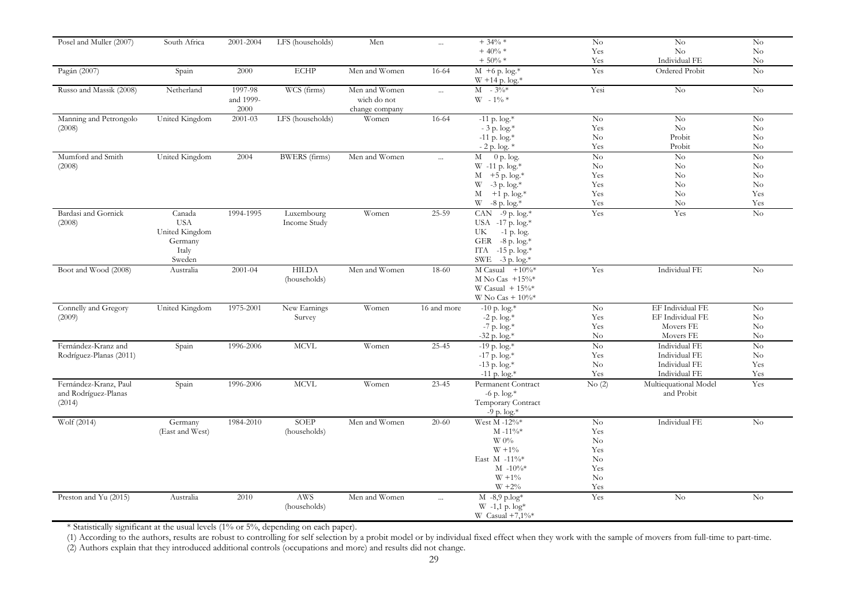| Posel and Muller (2007) | South Africa    | 2001-2004   | LFS (households) | Men            | $\ldots$    | $+34\% *$                         | $\rm No$       | No                            | No                     |
|-------------------------|-----------------|-------------|------------------|----------------|-------------|-----------------------------------|----------------|-------------------------------|------------------------|
|                         |                 |             |                  |                |             | $+40\%$ *                         | Yes            | No                            | No                     |
|                         |                 |             |                  |                |             | $+50\%$ *                         | Yes            | Individual FE                 | $\rm No$               |
| Pagán (2007)            | Spain           | 2000        | <b>ECHP</b>      | Men and Women  | 16-64       | $M$ +6 p. log.*                   | Yes            | Ordered Probit                | No                     |
|                         |                 |             |                  |                |             | $W + 14 p \log^*$                 |                |                               |                        |
| Russo and Massik (2008) | Netherland      | 1997-98     | WCS (firms)      | Men and Women  | $\ldots$    | $M - 3\%$                         | Yesi           | $\rm No$                      | No                     |
|                         |                 | and 1999-   |                  | wich do not    |             | $W = 1\% *$                       |                |                               |                        |
|                         |                 | 2000        |                  | change company |             |                                   |                |                               |                        |
| Manning and Petrongolo  | United Kingdom  | $2001 - 03$ | LFS (households) | Women          | 16-64       | $-11$ p. $log.*$                  | $\rm No$       | $\rm No$                      | No                     |
| (2008)                  |                 |             |                  |                |             | $-3$ p. $log.*$                   | Yes            | $\rm No$                      | No                     |
|                         |                 |             |                  |                |             | $-11$ p. $\log$ *                 | $\rm No$       | Probit                        | $\rm No$               |
|                         |                 |             |                  |                |             | $-2 p$ . log. *                   | Yes            | Probit                        | $\rm No$               |
| Mumford and Smith       | United Kingdom  | 2004        | BWERS (firms)    | Men and Women  | $\sim$      | $0$ p. $log.$<br>М                | No             | $\rm No$                      | No                     |
| (2008)                  |                 |             |                  |                |             | $W -11 p$ . $log.*$               | $\rm No$       | $\rm No$                      | No                     |
|                         |                 |             |                  |                |             | $M + 5 p \cdot log.*$             | Yes            | $\rm No$                      | No                     |
|                         |                 |             |                  |                |             | W<br>$-3$ p. $\log^*$             | Yes            | $\rm No$                      | No                     |
|                         |                 |             |                  |                |             | М<br>$+1$ p. $\log *$             | Yes            | $\rm No$                      | Yes                    |
|                         |                 |             |                  |                |             | W<br>$-8$ p. $\log.*$             | Yes            | No                            | Yes                    |
| Bardasi and Gornick     | Canada          | 1994-1995   | Luxembourg       | Women          | 25-59       | <b>CAN</b><br>$-9$ p. $\log^{*}$  | Yes            | Yes                           | No                     |
| (2008)                  | <b>USA</b>      |             | Income Study     |                |             | USA -17 p. log.*                  |                |                               |                        |
|                         | United Kingdom  |             |                  |                |             | UK<br>$-1$ p. $log.$              |                |                               |                        |
|                         | Germany         |             |                  |                |             | GER $-8$ p. log.*                 |                |                               |                        |
|                         | Italy           |             |                  |                |             | ITA $-15$ p. $log.*$              |                |                               |                        |
|                         | Sweden          |             |                  |                |             | SWE $-3 p. log.*$                 |                |                               |                        |
| Boot and Wood (2008)    | Australia       | $2001 - 04$ | <b>HILDA</b>     | Men and Women  | $18-60$     | M Casual $+10\%$ *                | Yes            | Individual FE                 | $\overline{\text{No}}$ |
|                         |                 |             | (households)     |                |             | M No Cas $+15\%$ *                |                |                               |                        |
|                         |                 |             |                  |                |             | W Casual $+15\%$ *                |                |                               |                        |
|                         |                 |             |                  |                |             | W No Cas + $10\%$ *               |                |                               |                        |
| Connelly and Gregory    | United Kingdom  | 1975-2001   | New Earnings     | Women          | 16 and more | $-10$ p. $\log$ *                 | $\rm No$       | EF Individual FE              | No                     |
| (2009)                  |                 |             | Survey           |                |             | $-2 p. log.*$<br>$-7$ p. $\log$ * | Yes<br>Yes     | EF Individual FE<br>Movers FE | No<br>$\rm No$         |
|                         |                 |             |                  |                |             | $-32$ p. $log.*$                  | No             | Movers FE                     | No                     |
| Fernández-Kranz and     |                 | 1996-2006   | <b>MCVL</b>      | Women          | $25 - 45$   | $-19 p \cdot \log *$              | $\rm No$       | Individual FE                 | $\rm No$               |
| Rodríguez-Planas (2011) | Spain           |             |                  |                |             | $-17 p \log*$                     | Yes            | Individual FE                 | No                     |
|                         |                 |             |                  |                |             | $-13 p \cdot \log *$              | $\rm No$       | Individual FE                 | Yes                    |
|                         |                 |             |                  |                |             | $-11$ p. $log.*$                  | Yes            | Individual FE                 | Yes                    |
| Fernández-Kranz, Paul   | Spain           | 1996-2006   | <b>MCVL</b>      | Women          | $23 - 45$   | Permanent Contract                | No(2)          | Multiequational Model         | Yes                    |
| and Rodríguez-Planas    |                 |             |                  |                |             | -6 p. $\log$ *                    |                | and Probit                    |                        |
| (2014)                  |                 |             |                  |                |             | Temporary Contract                |                |                               |                        |
|                         |                 |             |                  |                |             | $-9$ p. $\log.*$                  |                |                               |                        |
| Wolf (2014)             | Germany         | 1984-2010   | <b>SOEP</b>      | Men and Women  | $20 - 60$   | West M -12%*                      | $\rm No$       | Individual FE                 | No                     |
|                         | (East and West) |             | (households)     |                |             | $M - 11\%$                        | Yes            |                               |                        |
|                         |                 |             |                  |                |             | $W 0\%$                           | No             |                               |                        |
|                         |                 |             |                  |                |             | $W + 1\%$                         | Yes            |                               |                        |
|                         |                 |             |                  |                |             | East M -11%*                      | No             |                               |                        |
|                         |                 |             |                  |                |             | $M - 10\%$ *                      | Yes            |                               |                        |
|                         |                 |             |                  |                |             | $W + 1\%$                         | N <sub>o</sub> |                               |                        |
|                         |                 |             |                  |                |             | $W + 2\%$                         | Yes            |                               |                        |
| Preston and Yu (2015)   | Australia       | 2010        | <b>AWS</b>       | Men and Women  | $\ddotsc$   | $M - 8.9$ p.log*                  | Yes            | $\rm No$                      | No                     |
|                         |                 |             | (households)     |                |             | $W -1,1 p. log*$                  |                |                               |                        |
|                         |                 |             |                  |                |             | W Casual $+7.1\%$ *               |                |                               |                        |

\* Statistically significant at the usual levels (1% or 5%, depending on each paper).

(1) According to the authors, results are robust to controlling for self selection by a probit model or by individual fixed effect when they work with the sample of movers from full-time to part-time.

(2) Authors explain that they introduced additional controls (occupations and more) and results did not change.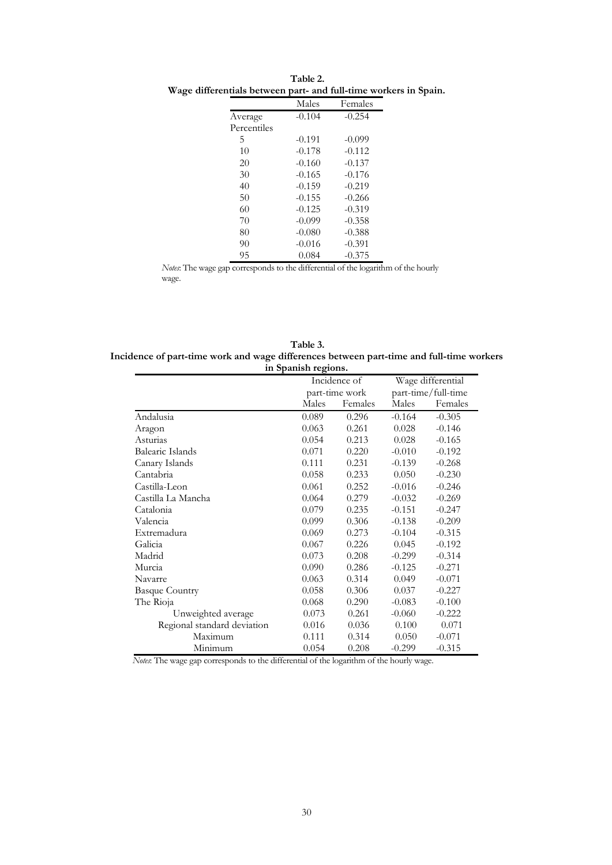| Males<br>Females<br>$-0.104$<br>$-0.254$<br>Average<br>Percentiles<br>$-0.099$<br>$-0.191$<br>5<br>$-0.112$<br>10<br>$-0.178$<br>20<br>$-0.137$<br>$-0.160$<br>$-0.176$<br>30<br>$-0.165$<br>40<br>$-0.219$<br>$-0.159$<br>50<br>$-0.155$<br>$-0.266$<br>60<br>$-0.125$<br>$-0.319$<br>$-0.099$<br>70<br>$-0.358$<br>$-0.080$<br>80<br>$-0.388$<br>90<br>$-0.016$<br>$-0.391$<br>95<br>0.084<br>$-0.375$ |  |  |
|----------------------------------------------------------------------------------------------------------------------------------------------------------------------------------------------------------------------------------------------------------------------------------------------------------------------------------------------------------------------------------------------------------|--|--|
|                                                                                                                                                                                                                                                                                                                                                                                                          |  |  |
|                                                                                                                                                                                                                                                                                                                                                                                                          |  |  |
|                                                                                                                                                                                                                                                                                                                                                                                                          |  |  |
|                                                                                                                                                                                                                                                                                                                                                                                                          |  |  |
|                                                                                                                                                                                                                                                                                                                                                                                                          |  |  |
|                                                                                                                                                                                                                                                                                                                                                                                                          |  |  |
|                                                                                                                                                                                                                                                                                                                                                                                                          |  |  |
|                                                                                                                                                                                                                                                                                                                                                                                                          |  |  |
|                                                                                                                                                                                                                                                                                                                                                                                                          |  |  |
|                                                                                                                                                                                                                                                                                                                                                                                                          |  |  |
|                                                                                                                                                                                                                                                                                                                                                                                                          |  |  |
|                                                                                                                                                                                                                                                                                                                                                                                                          |  |  |
|                                                                                                                                                                                                                                                                                                                                                                                                          |  |  |
|                                                                                                                                                                                                                                                                                                                                                                                                          |  |  |

| Table 2.                                                         |  |
|------------------------------------------------------------------|--|
| Wage differentials between part- and full-time workers in Spain. |  |

*Notes*: The wage gap corresponds to the differential of the logarithm of the hourly wage.

| Table 3.                                                                                 |
|------------------------------------------------------------------------------------------|
| Incidence of part-time work and wage differences between part-time and full-time workers |
| in Spanish regions.                                                                      |

|                             |       | Incidence of   | Wage differential |                     |  |  |  |
|-----------------------------|-------|----------------|-------------------|---------------------|--|--|--|
|                             |       | part-time work |                   | part-time/full-time |  |  |  |
|                             | Males | Females        | Males             | Females             |  |  |  |
| Andalusia                   | 0.089 | 0.296          | $-0.164$          | $-0.305$            |  |  |  |
| Aragon                      | 0.063 | 0.261          | 0.028             | $-0.146$            |  |  |  |
| Asturias                    | 0.054 | 0.213          | 0.028             | $-0.165$            |  |  |  |
| Balearic Islands            | 0.071 | 0.220          | $-0.010$          | $-0.192$            |  |  |  |
| Canary Islands              | 0.111 | 0.231          | $-0.139$          | $-0.268$            |  |  |  |
| Cantabria                   | 0.058 | 0.233          | 0.050             | $-0.230$            |  |  |  |
| Castilla-Leon               | 0.061 | 0.252          | $-0.016$          | $-0.246$            |  |  |  |
| Castilla La Mancha          | 0.064 | 0.279          | $-0.032$          | $-0.269$            |  |  |  |
| Catalonia                   | 0.079 | 0.235          | $-0.151$          | $-0.247$            |  |  |  |
| Valencia                    | 0.099 | 0.306          | $-0.138$          | $-0.209$            |  |  |  |
| Extremadura                 | 0.069 | 0.273          | $-0.104$          | $-0.315$            |  |  |  |
| Galicia                     | 0.067 | 0.226          | 0.045             | $-0.192$            |  |  |  |
| Madrid                      | 0.073 | 0.208          | $-0.299$          | $-0.314$            |  |  |  |
| Murcia                      | 0.090 | 0.286          | $-0.125$          | $-0.271$            |  |  |  |
| Navarre                     | 0.063 | 0.314          | 0.049             | $-0.071$            |  |  |  |
| <b>Basque Country</b>       | 0.058 | 0.306          | 0.037             | $-0.227$            |  |  |  |
| The Rioja                   | 0.068 | 0.290          | $-0.083$          | $-0.100$            |  |  |  |
| Unweighted average          | 0.073 | 0.261          | $-0.060$          | $-0.222$            |  |  |  |
| Regional standard deviation | 0.016 | 0.036          | 0.100             | 0.071               |  |  |  |
| Maximum                     | 0.111 | 0.314          | 0.050             | $-0.071$            |  |  |  |
| Minimum                     | 0.054 | 0.208          | $-0.299$          | $-0.315$            |  |  |  |

*Notes*: The wage gap corresponds to the differential of the logarithm of the hourly wage.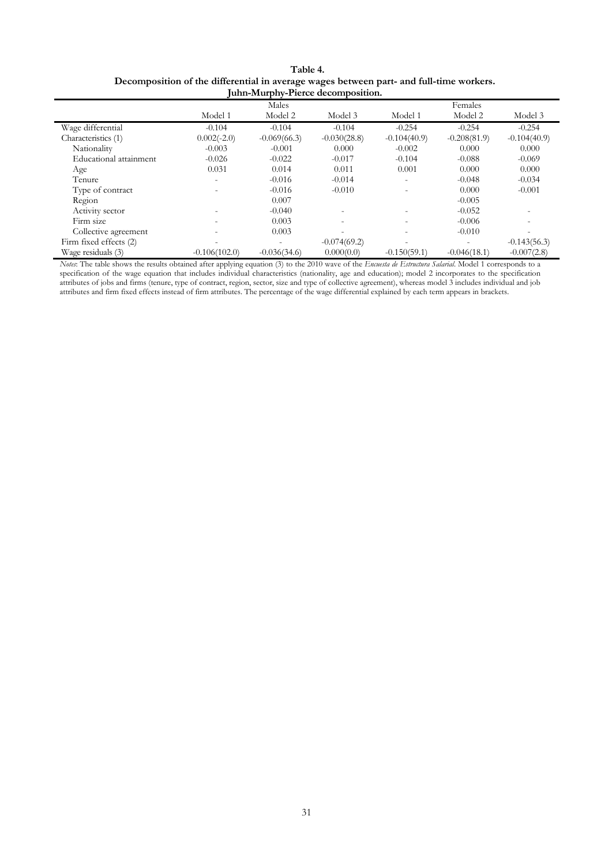**Table 4. Decomposition of the differential in average wages between part- and full-time workers. Juhn-Murphy-Pierce decomposition.** 

|                        | $\cdot$ $\cdot$ |                          |                |                |                |                |
|------------------------|-----------------|--------------------------|----------------|----------------|----------------|----------------|
|                        |                 | Males                    |                |                | Females        |                |
|                        | Model 1         | Model 2                  | Model 3        | Model 1        | Model 2        | Model 3        |
| Wage differential      | $-0.104$        | $-0.104$                 | $-0.104$       | $-0.254$       | $-0.254$       | $-0.254$       |
| Characteristics (1)    | $0.002(-2.0)$   | $-0.069(66.3)$           | $-0.030(28.8)$ | $-0.104(40.9)$ | $-0.208(81.9)$ | $-0.104(40.9)$ |
| Nationality            | $-0.003$        | $-0.001$                 | 0.000          | $-0.002$       | 0.000          | 0.000          |
| Educational attainment | $-0.026$        | $-0.022$                 | $-0.017$       | $-0.104$       | $-0.088$       | $-0.069$       |
| Age                    | 0.031           | 0.014                    | 0.011          | 0.001          | 0.000          | 0.000          |
| Tenure                 |                 | $-0.016$                 | $-0.014$       |                | $-0.048$       | $-0.034$       |
| Type of contract       |                 | $-0.016$                 | $-0.010$       |                | 0.000          | $-0.001$       |
| Region                 |                 | 0.007                    |                |                | $-0.005$       |                |
| Activity sector        |                 | $-0.040$                 |                |                | $-0.052$       |                |
| Firm size              |                 | 0.003                    | $\overline{a}$ |                | $-0.006$       |                |
| Collective agreement   |                 | 0.003                    |                |                | $-0.010$       |                |
| Firm fixed effects (2) |                 | $\overline{\phantom{a}}$ | $-0.074(69.2)$ |                |                | $-0.143(56.3)$ |
| Wage residuals (3)     | $-0.106(102.0)$ | $-0.036(34.6)$           | 0.000(0.0)     | $-0.150(59.1)$ | $-0.046(18.1)$ | $-0.007(2.8)$  |

*Notes*: The table shows the results obtained after applying equation (3) to the 2010 wave of the *Encuesta de Estructura Salarial*. Model 1 corresponds to a specification of the wage equation that includes individual characteristics (nationality, age and education); model 2 incorporates to the specification attributes of jobs and firms (tenure, type of contract, region, sector, size and type of collective agreement), whereas model 3 includes individual and job attributes and firm fixed effects instead of firm attributes. The percentage of the wage differential explained by each term appears in brackets.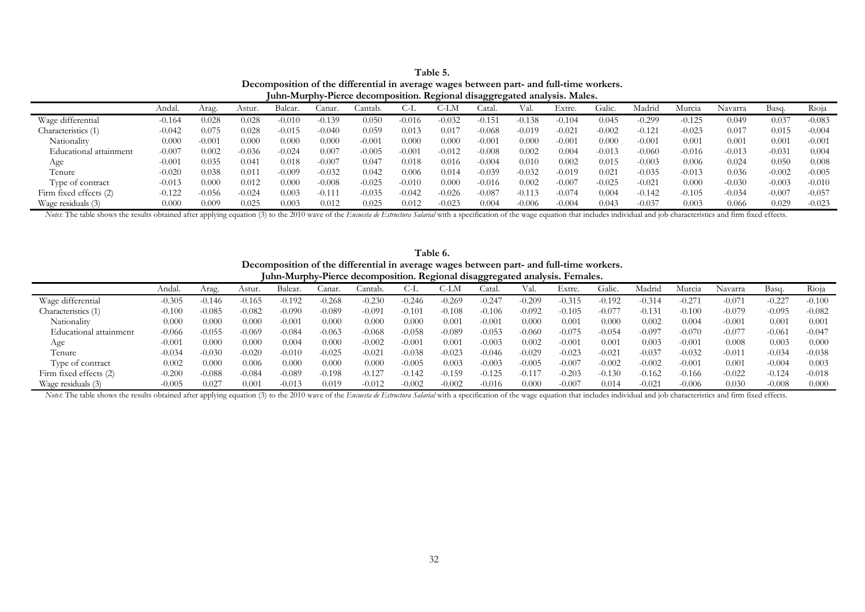| Table 5.                                                                                |
|-----------------------------------------------------------------------------------------|
| Decomposition of the differential in average wages between part- and full-time workers. |
| Juhn-Murphy-Pierce decomposition. Regional disaggregated analysis. Males.               |

| um murphy 1 icice accomposition. In groma disaggregated analysis. marcs. |          |          |          |          |          |          |          |          |          |          |          |          |          |          |          |          |          |
|--------------------------------------------------------------------------|----------|----------|----------|----------|----------|----------|----------|----------|----------|----------|----------|----------|----------|----------|----------|----------|----------|
|                                                                          | Andal.   | Arag.    | Astur.   | Balear   | Janar.   | Jantab.  | C-L      | C-LM     | Catal    | Val.     | Extre.   | Galic.   | Madrid   | Murcia   | Navarra  | Basq.    | Rioja    |
| Wage differential                                                        | $-0.164$ | 0.028    | 0.028    | $-0.010$ | $-0.139$ | 0.050    | -0.016   | $-0.032$ | $-0.151$ | -0.138   | $-0.104$ | 0.045    | $-0.299$ | $-0.125$ | 0.049    | 0.037    | $-0.083$ |
| Characteristics (1)                                                      | $-0.042$ | 0.075    | 0.028    | $-0.015$ | -0.040   | 0.059    | 0.013    | 0.01     | $-0.068$ | $-0.019$ | $-0.021$ | $-0.002$ | $-0.121$ | $-0.023$ | 0.017    | 0.015    | $-0.004$ |
| Nationality                                                              | 0.000    | $-0.001$ | 0.000    | 0.000    | 0.000    | $-0.001$ | 0.000    | 0.000    | $-0.001$ | 0.000    | $-0.001$ | 0.000    | $-0.001$ | 0.001    | 0.001    | 0.001    | $-0.001$ |
| Educational attainment                                                   | $-0.007$ | 0.002    | $-0.036$ | $-0.024$ | 0.007    | $-0.005$ | $-0.001$ | $-0.012$ | $-0.008$ | 0.002    | 0.004    | $-0.013$ | -0.060   | $-0.016$ | $-0.013$ | $-0.031$ | 0.004    |
| Age                                                                      | $-0.001$ | 0.035    | 0.041    | 0.018    | $-0.007$ | 0.047    | 0.018    | 0.016    | $-0.004$ | 0.010    | 0.002    | 0.015    | $-0.003$ | 0.006    | 0.024    | 0.050    | 0.008    |
| Tenure                                                                   | $-0.020$ | 0.038    | 0.01     | $-0.009$ | $-0.032$ | 0.042    | 0.006    | 0.014    | $-0.039$ | $-0.032$ | $-0.019$ | 0.021    | $-0.035$ | $-0.013$ | 0.036    | $-0.002$ | $-0.005$ |
| Type of contract                                                         | $-0.013$ | 0.000    | 0.012    | 0.000    | $-0.008$ | $-0.025$ | $-0.010$ | 0.000    | $-0.016$ | 0.002    | $-0.007$ | $-0.025$ | $-0.021$ | 0.000    | $-0.030$ | $-0.003$ | $-0.010$ |
| Firm fixed effects (2)                                                   | $-0.122$ | $-0.056$ | $-0.024$ | 0.003    | $-0.11$  | $-0.035$ | $-0.042$ | $-0.026$ | $-0.087$ | $-0.113$ | $-0.074$ | 0.004    | $-0.142$ | $-0.105$ | $-0.034$ | $-0.007$ | $-0.057$ |
| Wage residuals (3)                                                       | 0.000    | 0.009    | 0.025    | 0.003    | 0.012    | 0.025    | 0.012    | $-0.023$ | 0.004    | $-0.006$ | $-0.004$ | 0.043    | $-0.037$ | 0.003    | 0.066    | 0.029    | $-0.023$ |

Notes: The table shows the results obtained after applying equation (3) to the 2010 wave of the Encuesta de Estructura Salarial with a specification of the wage equation that includes individual and job characteristics and

**Table 6. Decomposition of the differential in average wages between part- and full-time workers. Juhn-Murphy-Pierce decomposition. Regional disaggregated analysis. Females.** 

|                        |          |          |          |          |          |          |          |                | ື        |                      |          |          |          |                 |          |          |          |
|------------------------|----------|----------|----------|----------|----------|----------|----------|----------------|----------|----------------------|----------|----------|----------|-----------------|----------|----------|----------|
|                        | Andal.   | Arag.    | Astur.   | Balear.  | Janar.   | .antab.  | C-L      | C-LM           | Catal    | Val.                 | Extre.   | Galic.   | Aadrid   | Murcia          | Navarra  | Basg.    | Rioja    |
| Wage differential      | $-0.305$ | $-0.146$ | -0.165   | $-0.192$ | -0.268   | $-0.230$ | $-0.246$ | $-0.269$       | $-0.247$ | $-0.209$             | $-0.315$ | $-0.192$ | $-0.314$ | $-0.27^{\circ}$ | $-0.071$ | $-0.227$ | $-0.100$ |
| Characteristics (1)    | $-0.100$ | $-0.085$ | $-0.082$ | $-0.090$ | $-0.089$ | $-0.091$ | $-0.101$ | $-0.108$       | $-0.106$ | $-0.092$             | $-0.105$ | $-0.077$ | $-0.131$ | $-0.100$        | $-0.079$ | $-0.095$ | $-0.082$ |
| Nationality            | 0.000    | 0.000    | 0.000    | $-0.001$ | 0.000    | 0.000    | 0.000    | $0.00^{\circ}$ | $-0.001$ | 0.000                | 0.001    | 0.000    | 0.002    | 0.004           | $-0.001$ | 0.001    | 0.001    |
| Educational attainment | $-0.066$ | $-0.055$ | $-0.069$ | $-0.084$ | $-0.063$ | $-0.068$ | $-0.058$ | $-0.089$       | $-0.053$ | $-0.060$             | $-0.075$ | $-0.054$ | $-0.097$ | $-0.070$        | $-0.077$ | $-0.061$ | $-0.047$ |
| Age                    | $-0.001$ | 0.000    | 0.000    | 0.004    | 0.000    | $-0.002$ | $-0.001$ | 0.001          | $-0.003$ | 0.002                | $-0.001$ | 0.001    | 0.003    | $-0.001$        | 0.008    | 0.003    | 0.000    |
| l'enure                | $-0.034$ | $-0.030$ | $-0.020$ | $-0.010$ | $-0.025$ | $-0.021$ | $-0.038$ | $-0.023$       | $-0.046$ | $-0.029$             | $-0.023$ | $-0.021$ | $-0.037$ | $-0.032$        | $-0.011$ | $-0.034$ | $-0.038$ |
| Type of contract       | 0.002    | 0.000    | 0.006    | 0.000    | 0.000    | 0.000    | $-0.005$ | 0.003          | $-0.003$ | $-0.005$             | $-0.007$ | $-0.002$ | $-0.002$ | $-0.001$        | 0.001    | $-0.004$ | 0.003    |
| Firm fixed effects (2) | $-0.200$ | $-0.088$ | $-0.084$ | $-0.089$ | $-0.198$ | $-0.127$ | $-0.142$ | $-0.159$       | $-0.125$ | $-0.11$ <sup>-</sup> | $-0.203$ | $-0.130$ | $-0.162$ | $-0.166$        | $-0.022$ | $-0.124$ | $-0.018$ |
| Wage residuals (3)     | $-0.005$ | 0.027    | 0.00.    | $-0.013$ | 0.019    | $-0.012$ | $-0.002$ | $-0.002$       | $-0.016$ | 0.000                | $-0.007$ | 0.014    | $-0.021$ | $-0.006$        | 0.030    | $-0.008$ | 0.000    |

Notes: The table shows the results obtained after applying equation (3) to the 2010 wave of the Encuesta de Estructura Salarial with a specification of the wage equation that includes individual and job characteristics and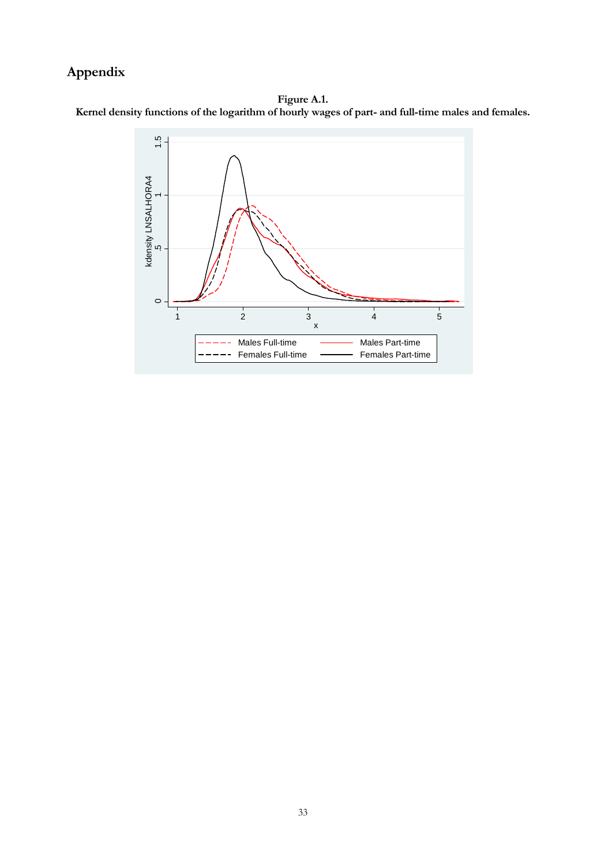# **Appendix**

**Figure A.1. Kernel density functions of the logarithm of hourly wages of part- and full-time males and females.** 

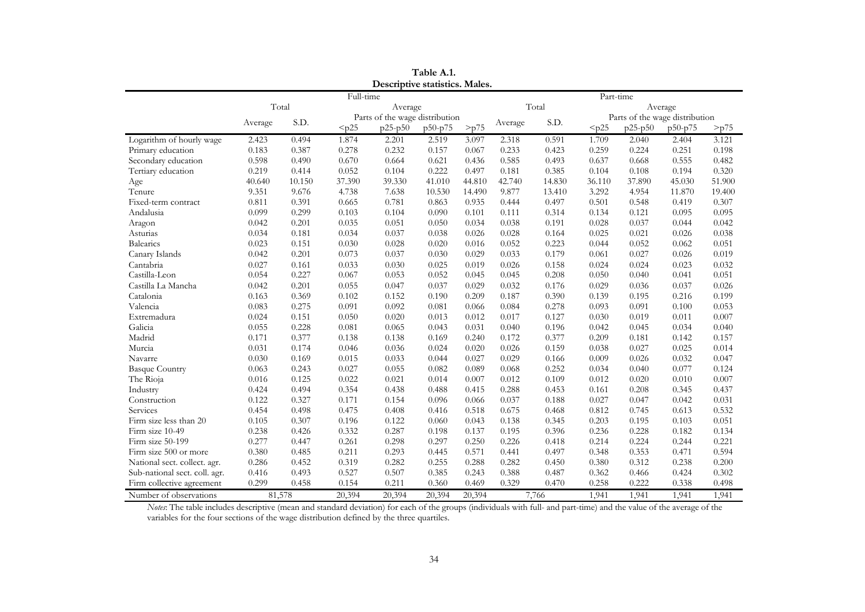|                               |         |        |           | Descriptive statistics. Males. |         |        |         |        |           |                                |           |        |
|-------------------------------|---------|--------|-----------|--------------------------------|---------|--------|---------|--------|-----------|--------------------------------|-----------|--------|
|                               |         |        | Full-time |                                |         |        |         |        | Part-time |                                |           |        |
|                               | Total   |        |           | Average                        |         |        |         | Total  |           |                                | Average   |        |
|                               |         | S.D.   |           | Parts of the wage distribution |         |        |         |        |           | Parts of the wage distribution |           |        |
|                               | Average |        | $p25$     | $p25-p50$                      | p50-p75 | >p75   | Average | S.D.   | $<$ p25   | $p25-p50$                      | $p50-p75$ | >p75   |
| Logarithm of hourly wage      | 2.423   | 0.494  | 1.874     | 2.201                          | 2.519   | 3.097  | 2.318   | 0.591  | 1.709     | 2.040                          | 2.404     | 3.121  |
| Primary education             | 0.183   | 0.387  | 0.278     | 0.232                          | 0.157   | 0.067  | 0.233   | 0.423  | 0.259     | 0.224                          | 0.251     | 0.198  |
| Secondary education           | 0.598   | 0.490  | 0.670     | 0.664                          | 0.621   | 0.436  | 0.585   | 0.493  | 0.637     | 0.668                          | 0.555     | 0.482  |
| Tertiary education            | 0.219   | 0.414  | 0.052     | 0.104                          | 0.222   | 0.497  | 0.181   | 0.385  | 0.104     | 0.108                          | 0.194     | 0.320  |
| Age                           | 40.640  | 10.150 | 37.390    | 39.330                         | 41.010  | 44.810 | 42.740  | 14.830 | 36.110    | 37.890                         | 45.030    | 51.900 |
| Tenure                        | 9.351   | 9.676  | 4.738     | 7.638                          | 10.530  | 14.490 | 9.877   | 13.410 | 3.292     | 4.954                          | 11.870    | 19.400 |
| Fixed-term contract           | 0.811   | 0.391  | 0.665     | 0.781                          | 0.863   | 0.935  | 0.444   | 0.497  | 0.501     | 0.548                          | 0.419     | 0.307  |
| Andalusia                     | 0.099   | 0.299  | 0.103     | 0.104                          | 0.090   | 0.101  | 0.111   | 0.314  | 0.134     | 0.121                          | 0.095     | 0.095  |
| Aragon                        | 0.042   | 0.201  | 0.035     | 0.051                          | 0.050   | 0.034  | 0.038   | 0.191  | 0.028     | 0.037                          | 0.044     | 0.042  |
| Asturias                      | 0.034   | 0.181  | 0.034     | 0.037                          | 0.038   | 0.026  | 0.028   | 0.164  | 0.025     | 0.021                          | 0.026     | 0.038  |
| <b>Balearics</b>              | 0.023   | 0.151  | 0.030     | 0.028                          | 0.020   | 0.016  | 0.052   | 0.223  | 0.044     | 0.052                          | 0.062     | 0.051  |
| Canary Islands                | 0.042   | 0.201  | 0.073     | 0.037                          | 0.030   | 0.029  | 0.033   | 0.179  | 0.061     | 0.027                          | 0.026     | 0.019  |
| Cantabria                     | 0.027   | 0.161  | 0.033     | 0.030                          | 0.025   | 0.019  | 0.026   | 0.158  | 0.024     | 0.024                          | 0.023     | 0.032  |
| Castilla-Leon                 | 0.054   | 0.227  | 0.067     | 0.053                          | 0.052   | 0.045  | 0.045   | 0.208  | 0.050     | 0.040                          | 0.041     | 0.051  |
| Castilla La Mancha            | 0.042   | 0.201  | 0.055     | 0.047                          | 0.037   | 0.029  | 0.032   | 0.176  | 0.029     | 0.036                          | 0.037     | 0.026  |
| Catalonia                     | 0.163   | 0.369  | 0.102     | 0.152                          | 0.190   | 0.209  | 0.187   | 0.390  | 0.139     | 0.195                          | 0.216     | 0.199  |
| Valencia                      | 0.083   | 0.275  | 0.091     | 0.092                          | 0.081   | 0.066  | 0.084   | 0.278  | 0.093     | 0.091                          | 0.100     | 0.053  |
| Extremadura                   | 0.024   | 0.151  | 0.050     | 0.020                          | 0.013   | 0.012  | 0.017   | 0.127  | 0.030     | 0.019                          | 0.011     | 0.007  |
| Galicia                       | 0.055   | 0.228  | 0.081     | 0.065                          | 0.043   | 0.031  | 0.040   | 0.196  | 0.042     | 0.045                          | 0.034     | 0.040  |
| Madrid                        | 0.171   | 0.377  | 0.138     | 0.138                          | 0.169   | 0.240  | 0.172   | 0.377  | 0.209     | 0.181                          | 0.142     | 0.157  |
| Murcia                        | 0.031   | 0.174  | 0.046     | 0.036                          | 0.024   | 0.020  | 0.026   | 0.159  | 0.038     | 0.027                          | 0.025     | 0.014  |
| Navarre                       | 0.030   | 0.169  | 0.015     | 0.033                          | 0.044   | 0.027  | 0.029   | 0.166  | 0.009     | 0.026                          | 0.032     | 0.047  |
| <b>Basque Country</b>         | 0.063   | 0.243  | 0.027     | 0.055                          | 0.082   | 0.089  | 0.068   | 0.252  | 0.034     | 0.040                          | 0.077     | 0.124  |
| The Rioja                     | 0.016   | 0.125  | 0.022     | 0.021                          | 0.014   | 0.007  | 0.012   | 0.109  | 0.012     | 0.020                          | 0.010     | 0.007  |
| Industry                      | 0.424   | 0.494  | 0.354     | 0.438                          | 0.488   | 0.415  | 0.288   | 0.453  | 0.161     | 0.208                          | 0.345     | 0.437  |
| Construction                  | 0.122   | 0.327  | 0.171     | 0.154                          | 0.096   | 0.066  | 0.037   | 0.188  | 0.027     | 0.047                          | 0.042     | 0.031  |
| Services                      | 0.454   | 0.498  | 0.475     | 0.408                          | 0.416   | 0.518  | 0.675   | 0.468  | 0.812     | 0.745                          | 0.613     | 0.532  |
| Firm size less than 20        | 0.105   | 0.307  | 0.196     | 0.122                          | 0.060   | 0.043  | 0.138   | 0.345  | 0.203     | 0.195                          | 0.103     | 0.051  |
| Firm size 10-49               | 0.238   | 0.426  | 0.332     | 0.287                          | 0.198   | 0.137  | 0.195   | 0.396  | 0.236     | 0.228                          | 0.182     | 0.134  |
| Firm size 50-199              | 0.277   | 0.447  | 0.261     | 0.298                          | 0.297   | 0.250  | 0.226   | 0.418  | 0.214     | 0.224                          | 0.244     | 0.221  |
| Firm size 500 or more         | 0.380   | 0.485  | 0.211     | 0.293                          | 0.445   | 0.571  | 0.441   | 0.497  | 0.348     | 0.353                          | 0.471     | 0.594  |
| National sect. collect. agr.  | 0.286   | 0.452  | 0.319     | 0.282                          | 0.255   | 0.288  | 0.282   | 0.450  | 0.380     | 0.312                          | 0.238     | 0.200  |
| Sub-national sect. coll. agr. | 0.416   | 0.493  | 0.527     | 0.507                          | 0.385   | 0.243  | 0.388   | 0.487  | 0.362     | 0.466                          | 0.424     | 0.302  |
| Firm collective agreement     | 0.299   | 0.458  | 0.154     | 0.211                          | 0.360   | 0.469  | 0.329   | 0.470  | 0.258     | 0.222                          | 0.338     | 0.498  |
| Number of observations        | 81,578  |        | 20.394    | 20,394                         | 20,394  | 20,394 |         | 7,766  | 1,941     | 1,941                          | 1,941     | 1,941  |

**Table A.1. Descriptive statistics. Males.**

*Notes*: The table includes descriptive (mean and standard deviation) for each of the groups (individuals with full- and part-time) and the value of the average of the variables for the four sections of the wage distribution defined by the three quartiles.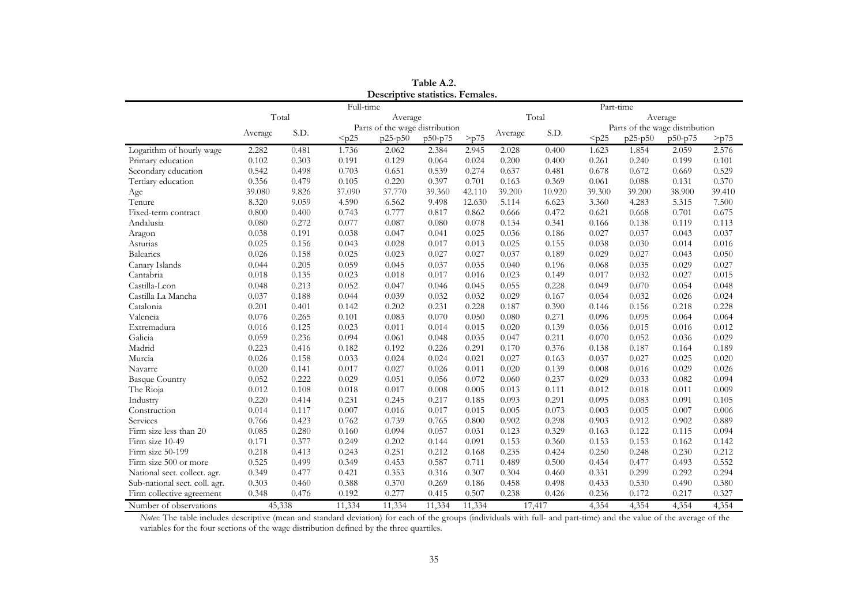| Descriptive statistics. Females. |               |       |                                |           |           |           |         |                                |        |         |           |        |
|----------------------------------|---------------|-------|--------------------------------|-----------|-----------|-----------|---------|--------------------------------|--------|---------|-----------|--------|
|                                  | Full-time     |       |                                |           |           | Part-time |         |                                |        |         |           |        |
|                                  | Total<br>S.D. |       | Average                        |           |           | Total     |         | Average                        |        |         |           |        |
|                                  |               |       | Parts of the wage distribution |           |           |           | S.D.    | Parts of the wage distribution |        |         |           |        |
|                                  | Average       |       | $p25$                          | $p25-p50$ | $p50-p75$ | >p75      | Average |                                | $p25$  | p25-p50 | $p50-p75$ | >p75   |
| Logarithm of hourly wage         | 2.282         | 0.481 | 1.736                          | 2.062     | 2.384     | 2.945     | 2.028   | 0.400                          | 1.623  | 1.854   | 2.059     | 2.576  |
| Primary education                | 0.102         | 0.303 | 0.191                          | 0.129     | 0.064     | 0.024     | 0.200   | 0.400                          | 0.261  | 0.240   | 0.199     | 0.101  |
| Secondary education              | 0.542         | 0.498 | 0.703                          | 0.651     | 0.539     | 0.274     | 0.637   | 0.481                          | 0.678  | 0.672   | 0.669     | 0.529  |
| Tertiary education               | 0.356         | 0.479 | 0.105                          | 0.220     | 0.397     | 0.701     | 0.163   | 0.369                          | 0.061  | 0.088   | 0.131     | 0.370  |
| Age                              | 39.080        | 9.826 | 37.090                         | 37.770    | 39.360    | 42.110    | 39.200  | 10.920                         | 39.300 | 39.200  | 38.900    | 39.410 |
| Tenure                           | 8.320         | 9.059 | 4.590                          | 6.562     | 9.498     | 12.630    | 5.114   | 6.623                          | 3.360  | 4.283   | 5.315     | 7.500  |
| Fixed-term contract              | 0.800         | 0.400 | 0.743                          | 0.777     | 0.817     | 0.862     | 0.666   | 0.472                          | 0.621  | 0.668   | 0.701     | 0.675  |
| Andalusia                        | 0.080         | 0.272 | 0.077                          | 0.087     | 0.080     | 0.078     | 0.134   | 0.341                          | 0.166  | 0.138   | 0.119     | 0.113  |
| Aragon                           | 0.038         | 0.191 | 0.038                          | 0.047     | 0.041     | 0.025     | 0.036   | 0.186                          | 0.027  | 0.037   | 0.043     | 0.037  |
| Asturias                         | 0.025         | 0.156 | 0.043                          | 0.028     | 0.017     | 0.013     | 0.025   | 0.155                          | 0.038  | 0.030   | 0.014     | 0.016  |
| <b>Balearics</b>                 | 0.026         | 0.158 | 0.025                          | 0.023     | 0.027     | 0.027     | 0.037   | 0.189                          | 0.029  | 0.027   | 0.043     | 0.050  |
| Canary Islands                   | 0.044         | 0.205 | 0.059                          | 0.045     | 0.037     | 0.035     | 0.040   | 0.196                          | 0.068  | 0.035   | 0.029     | 0.027  |
| Cantabria                        | 0.018         | 0.135 | 0.023                          | 0.018     | 0.017     | 0.016     | 0.023   | 0.149                          | 0.017  | 0.032   | 0.027     | 0.015  |
| Castilla-Leon                    | 0.048         | 0.213 | 0.052                          | 0.047     | 0.046     | 0.045     | 0.055   | 0.228                          | 0.049  | 0.070   | 0.054     | 0.048  |
| Castilla La Mancha               | 0.037         | 0.188 | 0.044                          | 0.039     | 0.032     | 0.032     | 0.029   | 0.167                          | 0.034  | 0.032   | 0.026     | 0.024  |
| Catalonia                        | 0.201         | 0.401 | 0.142                          | 0.202     | 0.231     | 0.228     | 0.187   | 0.390                          | 0.146  | 0.156   | 0.218     | 0.228  |
| Valencia                         | 0.076         | 0.265 | 0.101                          | 0.083     | 0.070     | 0.050     | 0.080   | 0.271                          | 0.096  | 0.095   | 0.064     | 0.064  |
| Extremadura                      | 0.016         | 0.125 | 0.023                          | 0.011     | 0.014     | 0.015     | 0.020   | 0.139                          | 0.036  | 0.015   | 0.016     | 0.012  |
| Galicia                          | 0.059         | 0.236 | 0.094                          | 0.061     | 0.048     | 0.035     | 0.047   | 0.211                          | 0.070  | 0.052   | 0.036     | 0.029  |
| Madrid                           | 0.223         | 0.416 | 0.182                          | 0.192     | 0.226     | 0.291     | 0.170   | 0.376                          | 0.138  | 0.187   | 0.164     | 0.189  |
| Murcia                           | 0.026         | 0.158 | 0.033                          | 0.024     | 0.024     | 0.021     | 0.027   | 0.163                          | 0.037  | 0.027   | 0.025     | 0.020  |
| Navarre                          | 0.020         | 0.141 | 0.017                          | 0.027     | 0.026     | 0.011     | 0.020   | 0.139                          | 0.008  | 0.016   | 0.029     | 0.026  |
| <b>Basque Country</b>            | 0.052         | 0.222 | 0.029                          | 0.051     | 0.056     | 0.072     | 0.060   | 0.237                          | 0.029  | 0.033   | 0.082     | 0.094  |
| The Rioja                        | 0.012         | 0.108 | 0.018                          | 0.017     | 0.008     | 0.005     | 0.013   | 0.111                          | 0.012  | 0.018   | 0.011     | 0.009  |
| Industry                         | 0.220         | 0.414 | 0.231                          | 0.245     | 0.217     | 0.185     | 0.093   | 0.291                          | 0.095  | 0.083   | 0.091     | 0.105  |
| Construction                     | 0.014         | 0.117 | 0.007                          | 0.016     | 0.017     | 0.015     | 0.005   | 0.073                          | 0.003  | 0.005   | 0.007     | 0.006  |
| Services                         | 0.766         | 0.423 | 0.762                          | 0.739     | 0.765     | 0.800     | 0.902   | 0.298                          | 0.903  | 0.912   | 0.902     | 0.889  |
| Firm size less than 20           | 0.085         | 0.280 | 0.160                          | 0.094     | 0.057     | 0.031     | 0.123   | 0.329                          | 0.163  | 0.122   | 0.115     | 0.094  |
| Firm size 10-49                  | 0.171         | 0.377 | 0.249                          | 0.202     | 0.144     | 0.091     | 0.153   | 0.360                          | 0.153  | 0.153   | 0.162     | 0.142  |
| Firm size 50-199                 | 0.218         | 0.413 | 0.243                          | 0.251     | 0.212     | 0.168     | 0.235   | 0.424                          | 0.250  | 0.248   | 0.230     | 0.212  |
| Firm size 500 or more            | 0.525         | 0.499 | 0.349                          | 0.453     | 0.587     | 0.711     | 0.489   | 0.500                          | 0.434  | 0.477   | 0.493     | 0.552  |
| National sect. collect. agr.     | 0.349         | 0.477 | 0.421                          | 0.353     | 0.316     | 0.307     | 0.304   | 0.460                          | 0.331  | 0.299   | 0.292     | 0.294  |
| Sub-national sect. coll. agr.    | 0.303         | 0.460 | 0.388                          | 0.370     | 0.269     | 0.186     | 0.458   | 0.498                          | 0.433  | 0.530   | 0.490     | 0.380  |
| Firm collective agreement        | 0.348         | 0.476 | 0.192                          | 0.277     | 0.415     | 0.507     | 0.238   | 0.426                          | 0.236  | 0.172   | 0.217     | 0.327  |
| Number of observations           | 45,338        |       | 11,334                         | 11,334    | 11,334    | 11,334    |         | 17,417                         | 4,354  | 4,354   | 4,354     | 4,354  |

**Table A.2. Descriptive statistics. Females.**

*Notes*: The table includes descriptive (mean and standard deviation) for each of the groups (individuals with full- and part-time) and the value of the average of the variables for the four sections of the wage distribution defined by the three quartiles.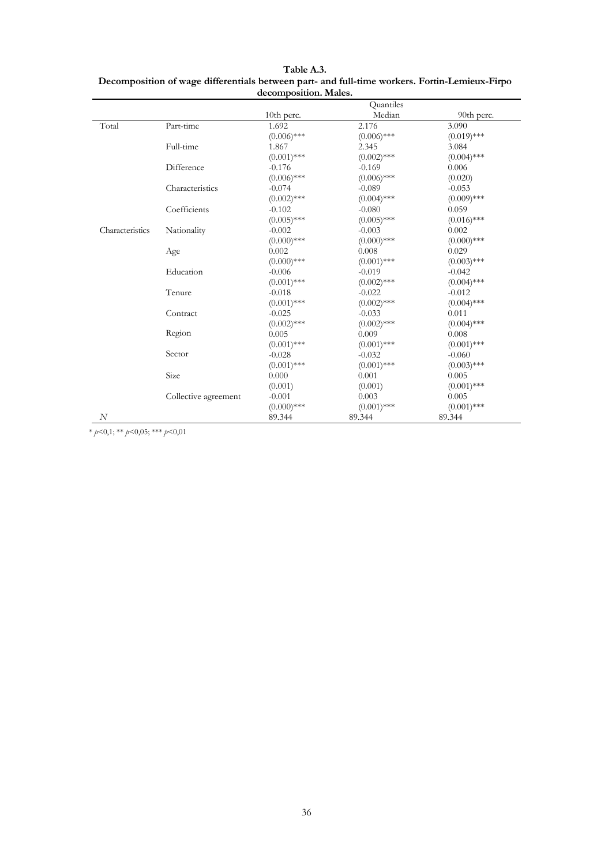|                 |                      | Quantiles     |               |               |  |
|-----------------|----------------------|---------------|---------------|---------------|--|
|                 |                      | 10th perc.    | Median        | 90th perc.    |  |
| Total           | Part-time            | 1.692         | 2.176         | 3.090         |  |
|                 |                      | $(0.006)$ *** | $(0.006)$ *** | $(0.019)$ *** |  |
|                 | Full-time            | 1.867         | 2.345         | 3.084         |  |
|                 |                      | $(0.001)$ *** | $(0.002)$ *** | $(0.004)$ *** |  |
|                 | Difference           | $-0.176$      | $-0.169$      | 0.006         |  |
|                 |                      | $(0.006)$ *** | $(0.006)$ *** | (0.020)       |  |
|                 | Characteristics      | $-0.074$      | $-0.089$      | $-0.053$      |  |
|                 |                      | $(0.002)$ *** | $(0.004)$ *** | $(0.009)$ *** |  |
|                 | Coefficients         | $-0.102$      | $-0.080$      | 0.059         |  |
|                 |                      | $(0.005)$ *** | $(0.005)$ *** | $(0.016)$ *** |  |
| Characteristics | Nationality          | $-0.002$      | $-0.003$      | 0.002         |  |
|                 |                      | $(0.000)$ *** | $(0.000)$ *** | $(0.000)$ *** |  |
|                 | Age                  | 0.002         | 0.008         | 0.029         |  |
|                 |                      | $(0.000)$ *** | $(0.001)$ *** | $(0.003)$ *** |  |
|                 | Education            | $-0.006$      | $-0.019$      | $-0.042$      |  |
|                 |                      | $(0.001)$ *** | $(0.002)$ *** | $(0.004)$ *** |  |
|                 | Tenure               | $-0.018$      | $-0.022$      | $-0.012$      |  |
|                 |                      | $(0.001)$ *** | $(0.002)$ *** | $(0.004)$ *** |  |
|                 | Contract             | $-0.025$      | $-0.033$      | 0.011         |  |
|                 |                      | $(0.002)$ *** | $(0.002)$ *** | $(0.004)$ *** |  |
|                 | Region               | 0.005         | 0.009         | 0.008         |  |
|                 |                      | $(0.001)$ *** | $(0.001)$ *** | $(0.001)$ *** |  |
|                 | Sector               | $-0.028$      | $-0.032$      | $-0.060$      |  |
|                 |                      | $(0.001)$ *** | $(0.001)$ *** | $(0.003)$ *** |  |
|                 | Size                 | 0.000         | 0.001         | 0.005         |  |
|                 |                      | (0.001)       | (0.001)       | $(0.001)$ *** |  |
|                 | Collective agreement | $-0.001$      | 0.003         | 0.005         |  |
|                 |                      | $(0.000)$ *** | $(0.001)$ *** | $(0.001)$ *** |  |
| N               |                      | 89.344        | 89.344        | 89.344        |  |

**Table A.3. Decomposition of wage differentials between part- and full-time workers. Fortin-Lemieux-Firpo decomposition. Males.** 

\* *p*<0,1; \*\* *p*<0,05; \*\*\* *p*<0,01